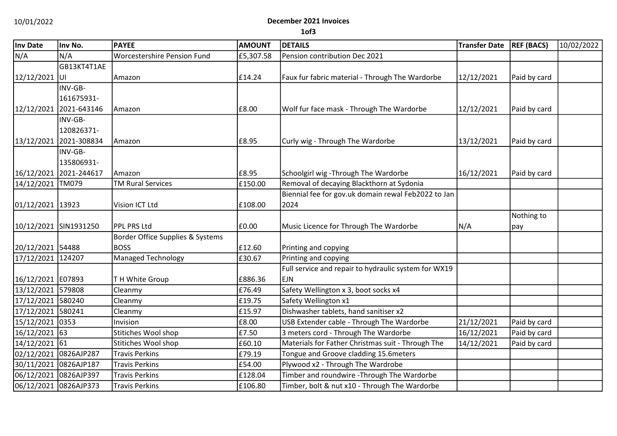### 10/01/2022 **December 2021 Invoices**

**1of3**

| Inv Date              | Inv No.                | <b>PAYEE</b>                       | <b>AMOUNT</b> | <b>DETAILS</b>                                       | <b>Transfer Date</b> | <b>REF (BACS)</b> | 10/02/2022 |
|-----------------------|------------------------|------------------------------------|---------------|------------------------------------------------------|----------------------|-------------------|------------|
| N/A                   | N/A                    | <b>Worcestershire Pension Fund</b> | £5,307.58     | Pension contribution Dec 2021                        |                      |                   |            |
|                       | GB13KT4T1AE            |                                    |               |                                                      |                      |                   |            |
| 12/12/2021            | luı                    | Amazon                             | £14.24        | Faux fur fabric material - Through The Wardorbe      | 12/12/2021           | Paid by card      |            |
|                       | INV-GB-                |                                    |               |                                                      |                      |                   |            |
|                       | 161675931-             |                                    |               |                                                      |                      |                   |            |
|                       | 12/12/2021 2021-643146 | Amazon                             | £8.00         | Wolf fur face mask - Through The Wardorbe            | 12/12/2021           | Paid by card      |            |
|                       | INV-GB-                |                                    |               |                                                      |                      |                   |            |
|                       | 120826371-             |                                    |               |                                                      |                      |                   |            |
| 13/12/2021            | 2021-308834            | Amazon                             | £8.95         | Curly wig - Through The Wardorbe                     | 13/12/2021           | Paid by card      |            |
|                       | INV-GB-                |                                    |               |                                                      |                      |                   |            |
|                       | 135806931-             |                                    |               |                                                      |                      |                   |            |
| 16/12/2021            | 2021-244617            | Amazon                             | £8.95         | Schoolgirl wig - Through The Wardorbe                | 16/12/2021           | Paid by card      |            |
| 14/12/2021 TM079      |                        | <b>TM Rural Services</b>           | £150.00       | Removal of decaying Blackthorn at Sydonia            |                      |                   |            |
|                       |                        |                                    |               | Biennial fee for gov.uk domain rewal Feb2022 to Jan  |                      |                   |            |
| 01/12/2021 13923      |                        | Vision ICT Ltd                     | £108.00       | 2024                                                 |                      |                   |            |
|                       |                        |                                    |               |                                                      |                      | Nothing to        |            |
| 10/12/2021 SIN1931250 |                        | <b>PPL PRS Ltd</b>                 | £0.00         | Music Licence for Through The Wardorbe               | N/A                  | pay               |            |
|                       |                        | Border Office Supplies & Systems   |               |                                                      |                      |                   |            |
| 20/12/2021 54488      |                        | <b>BOSS</b>                        | £12.60        | Printing and copying                                 |                      |                   |            |
| 17/12/2021 124207     |                        | <b>Managed Technology</b>          | £30.67        | Printing and copying                                 |                      |                   |            |
|                       |                        |                                    |               | Full service and repair to hydraulic system for WX19 |                      |                   |            |
| 16/12/2021 E07893     |                        | TH White Group                     | £886.36       | <b>EJN</b>                                           |                      |                   |            |
| 13/12/2021 579808     |                        | Cleanmy                            | £76.49        | Safety Wellington x 3, boot socks x4                 |                      |                   |            |
| 17/12/2021 580240     |                        | Cleanmy                            | £19.75        | Safety Wellington x1                                 |                      |                   |            |
| 17/12/2021 580241     |                        | Cleanmy                            | £15.97        | Dishwasher tablets, hand sanitiser x2                |                      |                   |            |
| 15/12/2021 0353       |                        | Invision                           | £8.00         | USB Extender cable - Through The Wardorbe            | 21/12/2021           | Paid by card      |            |
| 16/12/2021 63         |                        | Stitiches Wool shop                | £7.50         | 3 meters cord - Through The Wardorbe                 | 16/12/2021           | Paid by card      |            |
| 14/12/2021 61         |                        | Stitiches Wool shop                | £60.10        | Materials for Father Christmas suit - Through The    | 14/12/2021           | Paid by card      |            |
| 02/12/2021 0826AJP287 |                        | <b>Travis Perkins</b>              | £79.19        | Tongue and Groove cladding 15.6meters                |                      |                   |            |
| 30/11/2021 0826AJP187 |                        | <b>Travis Perkins</b>              | £54.00        | Plywood x2 - Through The Wardrobe                    |                      |                   |            |
| 06/12/2021 0826AJP397 |                        | <b>Travis Perkins</b>              | £128.04       | Timber and roundwire - Through The Wardorbe          |                      |                   |            |
| 06/12/2021 0826AJP373 |                        | <b>Travis Perkins</b>              | £106.80       | Timber, bolt & nut x10 - Through The Wardorbe        |                      |                   |            |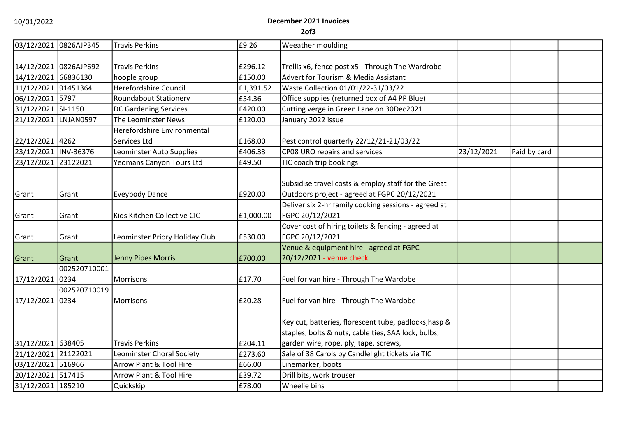#### 10/01/2022 **December 2021 Invoices 2of3**

| 03/12/2021            | 0826AJP345           | <b>Travis Perkins</b>          | £9.26     | Weeather moulding                                                                                            |            |              |  |
|-----------------------|----------------------|--------------------------------|-----------|--------------------------------------------------------------------------------------------------------------|------------|--------------|--|
|                       |                      |                                |           |                                                                                                              |            |              |  |
| 14/12/2021 0826AJP692 |                      | <b>Travis Perkins</b>          | £296.12   | Trellis x6, fence post x5 - Through The Wardrobe                                                             |            |              |  |
| 14/12/2021 66836130   |                      | hoople group                   | £150.00   | <b>Advert for Tourism &amp; Media Assistant</b>                                                              |            |              |  |
| 11/12/2021 91451364   |                      | Herefordshire Council          | £1,391.52 | Waste Collection 01/01/22-31/03/22                                                                           |            |              |  |
| 06/12/2021 5797       |                      | <b>Roundabout Stationery</b>   | £54.36    | Office supplies (returned box of A4 PP Blue)                                                                 |            |              |  |
| 31/12/2021 SI-1150    |                      | <b>DC Gardening Services</b>   | £420.00   | Cutting verge in Green Lane on 30Dec2021                                                                     |            |              |  |
| 21/12/2021 LNJAN0597  |                      | The Leominster News            | £120.00   | January 2022 issue                                                                                           |            |              |  |
|                       |                      | Herefordshire Environmental    |           |                                                                                                              |            |              |  |
| 22/12/2021 4262       |                      | Services Ltd                   | £168.00   | Pest control quarterly 22/12/21-21/03/22                                                                     |            |              |  |
| 23/12/2021 INV-36376  |                      | Leominster Auto Supplies       | £406.33   | CP08 URO repairs and services                                                                                | 23/12/2021 | Paid by card |  |
| 23/12/2021 23122021   |                      | Yeomans Canyon Tours Ltd       | £49.50    | TIC coach trip bookings                                                                                      |            |              |  |
| Grant                 | Grant                | <b>Eveybody Dance</b>          | £920.00   | Subsidise travel costs & employ staff for the Great<br>Outdoors project - agreed at FGPC 20/12/2021          |            |              |  |
|                       |                      |                                |           | Deliver six 2-hr family cooking sessions - agreed at                                                         |            |              |  |
| Grant                 | Grant                | Kids Kitchen Collective CIC    | £1,000.00 | FGPC 20/12/2021                                                                                              |            |              |  |
| Grant                 | Grant                | Leominster Priory Holiday Club | £530.00   | Cover cost of hiring toilets & fencing - agreed at<br>FGPC 20/12/2021                                        |            |              |  |
|                       |                      |                                |           | Venue & equipment hire - agreed at FGPC                                                                      |            |              |  |
| Grant                 | Grant                | Jenny Pipes Morris             | £700.00   | 20/12/2021 - venue check                                                                                     |            |              |  |
|                       | 002520710001         |                                |           |                                                                                                              |            |              |  |
| 17/12/2021            | 0234                 | Morrisons                      | £17.70    | Fuel for van hire - Through The Wardobe                                                                      |            |              |  |
| 17/12/2021            | 002520710019<br>0234 | Morrisons                      | £20.28    | Fuel for van hire - Through The Wardobe                                                                      |            |              |  |
|                       |                      |                                |           |                                                                                                              |            |              |  |
|                       |                      |                                |           | Key cut, batteries, florescent tube, padlocks, hasp &<br>staples, bolts & nuts, cable ties, SAA lock, bulbs, |            |              |  |
| 31/12/2021 638405     |                      | <b>Travis Perkins</b>          | £204.11   | garden wire, rope, ply, tape, screws,                                                                        |            |              |  |
| 21/12/2021 21122021   |                      | Leominster Choral Society      | £273.60   | Sale of 38 Carols by Candlelight tickets via TIC                                                             |            |              |  |
| 03/12/2021 516966     |                      | Arrow Plant & Tool Hire        | £66.00    | Linemarker, boots                                                                                            |            |              |  |
| 20/12/2021 517415     |                      | Arrow Plant & Tool Hire        | £39.72    | Drill bits, work trouser                                                                                     |            |              |  |
| 31/12/2021 185210     |                      | Quickskip                      | £78.00    | Wheelie bins                                                                                                 |            |              |  |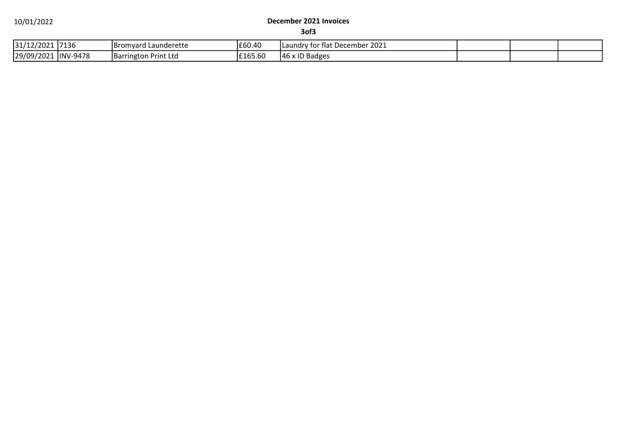#### 10/01/2022 **December 2021 Invoices**

**3of3**

| 31/12/2021 | 7136            | <b>Bromyard Launderette</b>    | £60.40   | 2021<br>Laundry for flat December |  |  |
|------------|-----------------|--------------------------------|----------|-----------------------------------|--|--|
| 29/09/2021 | <b>INV-9478</b> | Print Lta<br><b>Barrington</b> | 165.60ء، | x ID Badges<br>146                |  |  |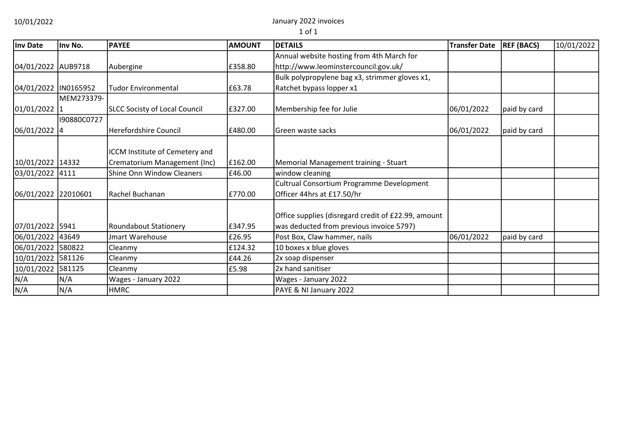10/01/2022 January 2022 invoices

1 of 1

| Inv Date             | Inv No.     | <b>PAYEE</b>                         | <b>AMOUNT</b> | <b>DETAILS</b>                                      | <b>Transfer Date</b> | <b>REF (BACS)</b> | 10/01/2022 |
|----------------------|-------------|--------------------------------------|---------------|-----------------------------------------------------|----------------------|-------------------|------------|
|                      |             |                                      |               | Annual website hosting from 4th March for           |                      |                   |            |
| 04/01/2022 AUB9718   |             | Aubergine                            | £358.80       | http://www.leominstercouncil.gov.uk/                |                      |                   |            |
|                      |             |                                      |               | Bulk polypropylene bag x3, strimmer gloves x1,      |                      |                   |            |
| 04/01/2022 IN0165952 |             | <b>Tudor Environmental</b>           | £63.78        | Ratchet bypass lopper x1                            |                      |                   |            |
|                      | MEM273379-  |                                      |               |                                                     |                      |                   |            |
| 01/01/2022 1         |             | <b>SLCC Socisty of Local Council</b> | £327.00       | Membership fee for Julie                            | 06/01/2022           | paid by card      |            |
|                      | I90880C0727 |                                      |               |                                                     |                      |                   |            |
| 06/01/2022 4         |             | Herefordshire Council                | £480.00       | Green waste sacks                                   | 06/01/2022           | paid by card      |            |
|                      |             |                                      |               |                                                     |                      |                   |            |
|                      |             | ICCM Institute of Cemetery and       |               |                                                     |                      |                   |            |
| 10/01/2022 14332     |             | Crematorium Management (Inc)         | £162.00       | Memorial Management training - Stuart               |                      |                   |            |
| 03/01/2022 4111      |             | Shine Onn Window Cleaners            | £46.00        | window cleaning                                     |                      |                   |            |
|                      |             |                                      |               | Cultrual Consortium Programme Development           |                      |                   |            |
| 06/01/2022 22010601  |             | Rachel Buchanan                      | £770.00       | Officer 44hrs at £17.50/hr                          |                      |                   |            |
|                      |             |                                      |               |                                                     |                      |                   |            |
|                      |             |                                      |               | Office supplies (disregard credit of £22.99, amount |                      |                   |            |
| 07/01/2022 5941      |             | Roundabout Stationery                | £347.95       | was deducted from previous invoice 5797)            |                      |                   |            |
| 06/01/2022 43649     |             | Jmart Warehouse                      | £26.95        | Post Box, Claw hammer, nails                        | 06/01/2022           | paid by card      |            |
| 06/01/2022           | 580822      | Cleanmy                              | £124.32       | 10 boxes x blue gloves                              |                      |                   |            |
| 10/01/2022 581126    |             | Cleanmy                              | £44.26        | 2x soap dispenser                                   |                      |                   |            |
| 10/01/2022           | 581125      | Cleanmy                              | £5.98         | 2x hand sanitiser                                   |                      |                   |            |
| N/A                  | N/A         | Wages - January 2022                 |               | Wages - January 2022                                |                      |                   |            |
| N/A                  | N/A         | <b>HMRC</b>                          |               | PAYE & NI January 2022                              |                      |                   |            |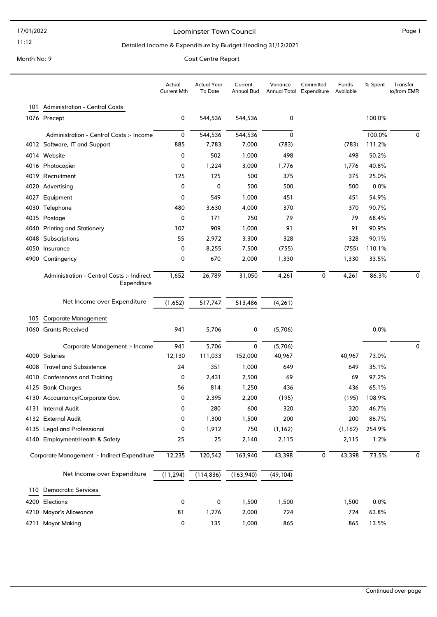#### Leominster Town Council and the contract of the Page 1

#### Detailed Income & Expenditure by Budget Heading 31/12/2021

|      |                                                           | Actual<br><b>Current Mth</b> | <b>Actual Year</b><br>To Date | Current<br>Annual Bud | Variance  | Committed<br>Annual Total Expenditure | Funds<br>Available | % Spent | Transfer<br>to/from EMR |
|------|-----------------------------------------------------------|------------------------------|-------------------------------|-----------------------|-----------|---------------------------------------|--------------------|---------|-------------------------|
| 101  | <b>Administration - Central Costs</b>                     |                              |                               |                       |           |                                       |                    |         |                         |
|      | 1076 Precept                                              | 0                            | 544,536                       | 544,536               | 0         |                                       |                    | 100.0%  |                         |
|      | Administration - Central Costs :- Income                  | 0                            | 544,536                       | 544,536               | 0         |                                       |                    | 100.0%  | 0                       |
|      | 4012 Software, IT and Support                             | 885                          | 7,783                         | 7,000                 | (783)     |                                       | (783)              | 111.2%  |                         |
|      | 4014 Website                                              | 0                            | 502                           | 1,000                 | 498       |                                       | 498                | 50.2%   |                         |
|      | 4016 Photocopier                                          | 0                            | 1,224                         | 3,000                 | 1,776     |                                       | 1,776              | 40.8%   |                         |
|      | 4019 Recruitment                                          | 125                          | 125                           | 500                   | 375       |                                       | 375                | 25.0%   |                         |
|      | 4020 Advertising                                          | 0                            | 0                             | 500                   | 500       |                                       | 500                | 0.0%    |                         |
| 4027 | Equipment                                                 | 0                            | 549                           | 1,000                 | 451       |                                       | 451                | 54.9%   |                         |
|      | 4030 Telephone                                            | 480                          | 3,630                         | 4,000                 | 370       |                                       | 370                | 90.7%   |                         |
|      | 4035 Postage                                              | 0                            | 171                           | 250                   | 79        |                                       | 79                 | 68.4%   |                         |
| 4040 | <b>Printing and Stationery</b>                            | 107                          | 909                           | 1,000                 | 91        |                                       | 91                 | 90.9%   |                         |
| 4048 | Subscriptions                                             | 55                           | 2,972                         | 3,300                 | 328       |                                       | 328                | 90.1%   |                         |
|      | 4050 Insurance                                            | 0                            | 8,255                         | 7,500                 | (755)     |                                       | (755)              | 110.1%  |                         |
|      | 4900 Contingency                                          | 0                            | 670                           | 2,000                 | 1,330     |                                       | 1,330              | 33.5%   |                         |
|      | Administration - Central Costs :- Indirect<br>Expenditure | 1,652                        | 26,789                        | 31,050                | 4,261     | 0                                     | 4,261              | 86.3%   | $\mathbf 0$             |
|      | Net Income over Expenditure                               | (1,652)                      | 517,747                       | 513,486               | (4, 261)  |                                       |                    |         |                         |
| 105  | <b>Corporate Management</b>                               |                              |                               |                       |           |                                       |                    |         |                         |
|      | 1060 Grants Received                                      | 941                          | 5,706                         | 0                     | (5,706)   |                                       |                    | 0.0%    |                         |
|      | Corporate Management :- Income                            | 941                          | 5,706                         | 0                     | (5,706)   |                                       |                    |         | 0                       |
|      | 4000 Salaries                                             | 12,130                       | 111,033                       | 152,000               | 40,967    |                                       | 40,967             | 73.0%   |                         |
|      | 4008 Travel and Subsistence                               | 24                           | 351                           | 1,000                 | 649       |                                       | 649                | 35.1%   |                         |
|      | 4010 Conferences and Training                             | 0                            | 2,431                         | 2,500                 | 69        |                                       | 69                 | 97.2%   |                         |
|      | 4125 Bank Charges                                         | 56                           | 814                           | 1,250                 | 436       |                                       | 436                | 65.1%   |                         |
|      | 4130 Accountancy/Corporate Gov.                           | 0                            | 2,395                         | 2,200                 | (195)     |                                       | (195)              | 108.9%  |                         |
|      | 4131 Internal Audit                                       | 0                            | 280                           | 600                   | 320       |                                       | 320                | 46.7%   |                         |
|      | 4132 External Audit                                       | 0                            | 1,300                         | 1,500                 | 200       |                                       | 200                | 86.7%   |                         |
|      | 4135 Legal and Professional                               | 0                            | 1,912                         | 750                   | (1, 162)  |                                       | (1, 162)           | 254.9%  |                         |
|      | 4140 Employment/Health & Safety                           | 25                           | 25                            | 2,140                 | 2,115     |                                       | 2,115              | 1.2%    |                         |
|      | Corporate Management :- Indirect Expenditure              | 12,235                       | 120,542                       | 163,940               | 43,398    | 0                                     | 43,398             | 73.5%   | 0                       |
|      | Net Income over Expenditure                               | (11, 294)                    | (114, 836)                    | (163, 940)            | (49, 104) |                                       |                    |         |                         |
| 110  | <b>Democratic Services</b>                                |                              |                               |                       |           |                                       |                    |         |                         |
|      | 4200 Elections                                            | 0                            | 0                             | 1,500                 | 1,500     |                                       | 1,500              | 0.0%    |                         |
|      | 4210 Mayor's Allowance                                    | 81                           | 1,276                         | 2,000                 | 724       |                                       | 724                | 63.8%   |                         |
|      | 4211 Mayor Making                                         | 0                            | 135                           | 1,000                 | 865       |                                       | 865                | 13.5%   |                         |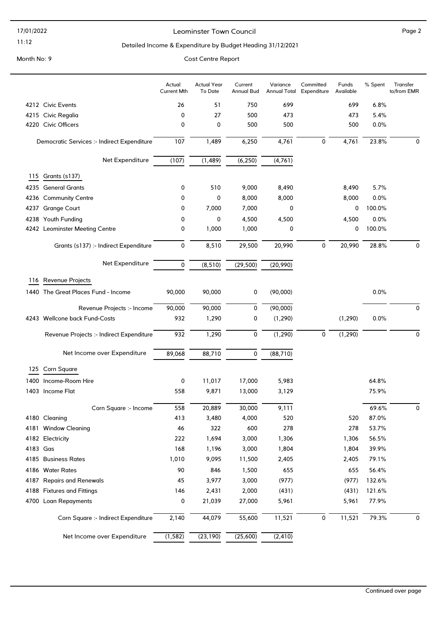#### 17/01/2022

#### 11:12

#### Leominster Town Council and the contract of the Page 2

#### Detailed Income & Expenditure by Budget Heading 31/12/2021

|          |                                             | Actual<br><b>Current Mth</b> | <b>Actual Year</b><br>To Date | Current<br><b>Annual Bud</b> | Variance<br><b>Annual Total</b> | Committed<br>Expenditure | Funds<br>Available | % Spent | Transfer<br>to/from EMR |
|----------|---------------------------------------------|------------------------------|-------------------------------|------------------------------|---------------------------------|--------------------------|--------------------|---------|-------------------------|
|          | 4212 Civic Events                           | 26                           | 51                            | 750                          | 699                             |                          | 699                | 6.8%    |                         |
|          | 4215 Civic Regalia                          | 0                            | 27                            | 500                          | 473                             |                          | 473                | 5.4%    |                         |
|          | 4220 Civic Officers                         | 0                            | 0                             | 500                          | 500                             |                          | 500                | 0.0%    |                         |
|          | Democratic Services :- Indirect Expenditure | 107                          | 1,489                         | 6,250                        | 4,761                           | $\mathbf 0$              | 4,761              | 23.8%   | 0                       |
|          | Net Expenditure                             | (107)                        | (1, 489)                      | (6, 250)                     | (4,761)                         |                          |                    |         |                         |
| 115      | Grants (s137)                               |                              |                               |                              |                                 |                          |                    |         |                         |
|          | 4235 General Grants                         | 0                            | 510                           | 9,000                        | 8,490                           |                          | 8,490              | 5.7%    |                         |
|          | 4236 Community Centre                       | 0                            | 0                             | 8,000                        | 8,000                           |                          | 8,000              | 0.0%    |                         |
|          | 4237 Grange Court                           | 0                            | 7,000                         | 7,000                        | 0                               |                          | 0                  | 100.0%  |                         |
|          | 4238 Youth Funding                          | 0                            | 0                             | 4,500                        | 4,500                           |                          | 4,500              | 0.0%    |                         |
|          | 4242 Leominster Meeting Centre              | 0                            | 1,000                         | 1,000                        | 0                               |                          | 0                  | 100.0%  |                         |
|          | Grants (s137) :- Indirect Expenditure       | 0                            | 8,510                         | 29,500                       | 20,990                          | 0                        | 20,990             | 28.8%   | $\mathbf 0$             |
|          | Net Expenditure                             | 0                            | (8, 510)                      | (29, 500)                    | (20, 990)                       |                          |                    |         |                         |
| 116      | Revenue Projects                            |                              |                               |                              |                                 |                          |                    |         |                         |
|          | 1440 The Great Places Fund - Income         | 90,000                       | 90,000                        | 0                            | (90,000)                        |                          |                    | 0.0%    |                         |
|          | Revenue Projects :- Income                  | 90,000                       | 90,000                        | 0                            | (90,000)                        |                          |                    |         | 0                       |
|          | 4243 Wellcone back Fund-Costs               | 932                          | 1,290                         | 0                            | (1, 290)                        |                          | (1, 290)           | 0.0%    |                         |
|          | Revenue Projects :- Indirect Expenditure    | 932                          | 1,290                         | 0                            | (1, 290)                        | $\mathbf 0$              | (1, 290)           |         | 0                       |
|          | Net Income over Expenditure                 | 89,068                       | 88,710                        | 0                            | (88, 710)                       |                          |                    |         |                         |
| 125      | Corn Square                                 |                              |                               |                              |                                 |                          |                    |         |                         |
| 1400     | Income-Room Hire                            | 0                            | 11,017                        | 17,000                       | 5,983                           |                          |                    | 64.8%   |                         |
|          | 1403 Income Flat                            | 558                          | 9,871                         | 13,000                       | 3,129                           |                          |                    | 75.9%   |                         |
|          | Corn Square :- Income                       | 558                          | 20,889                        | 30,000                       | 9,111                           |                          |                    | 69.6%   | 0                       |
|          | 4180 Cleaning                               | 413                          | 3,480                         | 4,000                        | 520                             |                          | 520                | 87.0%   |                         |
|          | 4181 Window Cleaning                        | 46                           | 322                           | 600                          | 278                             |                          | 278                | 53.7%   |                         |
|          | 4182 Electricity                            | 222                          | 1,694                         | 3,000                        | 1,306                           |                          | 1,306              | 56.5%   |                         |
| 4183 Gas |                                             | 168                          | 1,196                         | 3,000                        | 1,804                           |                          | 1,804              | 39.9%   |                         |
|          | 4185 Business Rates                         | 1,010                        | 9,095                         | 11,500                       | 2,405                           |                          | 2,405              | 79.1%   |                         |
|          | 4186 Water Rates                            | 90                           | 846                           | 1,500                        | 655                             |                          | 655                | 56.4%   |                         |
|          | 4187 Repairs and Renewals                   | 45                           | 3,977                         | 3,000                        | (977)                           |                          | (977)              | 132.6%  |                         |
|          | 4188 Fixtures and Fittings                  | 146                          | 2,431                         | 2,000                        | (431)                           |                          | (431)              | 121.6%  |                         |
|          | 4700 Loan Repayments                        | 0                            | 21,039                        | 27,000                       | 5,961                           |                          | 5,961              | 77.9%   |                         |
|          | Corn Square :- Indirect Expenditure         | 2,140                        | 44,079                        | 55,600                       | 11,521                          | 0                        | 11,521             | 79.3%   | 0                       |
|          | Net Income over Expenditure                 | (1, 582)                     | (23, 190)                     | (25,600)                     | (2, 410)                        |                          |                    |         |                         |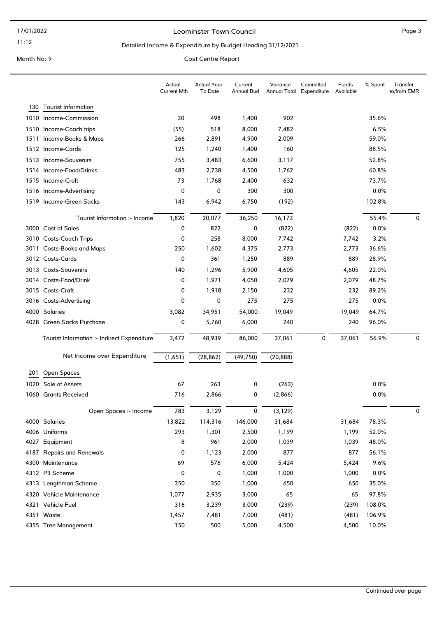#### Leominster Town Council and the contract of the Page 3

#### Detailed Income & Expenditure by Budget Heading 31/12/2021

| <b>Tourist Information</b><br>130<br>1010 Income-Commission<br>498<br>902<br>35.6%<br>30<br>1,400<br>(55)<br>518<br>8,000<br>7,482<br>6.5%<br>1510 Income-Coach trips<br>59.0%<br>1511 Income-Books & Maps<br>266<br>2,891<br>4,900<br>2,009<br>160<br>88.5%<br>1512 Income-Cards<br>125<br>1,240<br>1,400<br>755<br>52.8%<br>1513 Income-Souvenirs<br>3,483<br>6,600<br>3,117<br>1514 Income-Food/Drinks<br>483<br>2,738<br>4,500<br>60.8%<br>1,762<br>73<br>1,768<br>73.7%<br>1515 Income-Craft<br>2,400<br>632<br>0<br>0<br>300<br>300<br>0.0%<br>1516 Income-Advertising<br>1519 Income-Green Sacks<br>6,942<br>6,750<br>(192)<br>102.8%<br>143<br>20,077<br>36,250<br>16,173<br>55.4%<br>Tourist Information :- Income<br>1,820<br>0 |                    | Actual<br><b>Current Mth</b> | <b>Actual Year</b><br>To Date | Current<br>Annual Bud | Variance<br>Annual Total Expenditure | Committed | Funds<br>Available | % Spent | Transfer<br>to/from EMR |
|-------------------------------------------------------------------------------------------------------------------------------------------------------------------------------------------------------------------------------------------------------------------------------------------------------------------------------------------------------------------------------------------------------------------------------------------------------------------------------------------------------------------------------------------------------------------------------------------------------------------------------------------------------------------------------------------------------------------------------------------|--------------------|------------------------------|-------------------------------|-----------------------|--------------------------------------|-----------|--------------------|---------|-------------------------|
|                                                                                                                                                                                                                                                                                                                                                                                                                                                                                                                                                                                                                                                                                                                                           |                    |                              |                               |                       |                                      |           |                    |         |                         |
|                                                                                                                                                                                                                                                                                                                                                                                                                                                                                                                                                                                                                                                                                                                                           |                    |                              |                               |                       |                                      |           |                    |         |                         |
|                                                                                                                                                                                                                                                                                                                                                                                                                                                                                                                                                                                                                                                                                                                                           |                    |                              |                               |                       |                                      |           |                    |         |                         |
|                                                                                                                                                                                                                                                                                                                                                                                                                                                                                                                                                                                                                                                                                                                                           |                    |                              |                               |                       |                                      |           |                    |         |                         |
|                                                                                                                                                                                                                                                                                                                                                                                                                                                                                                                                                                                                                                                                                                                                           |                    |                              |                               |                       |                                      |           |                    |         |                         |
|                                                                                                                                                                                                                                                                                                                                                                                                                                                                                                                                                                                                                                                                                                                                           |                    |                              |                               |                       |                                      |           |                    |         |                         |
|                                                                                                                                                                                                                                                                                                                                                                                                                                                                                                                                                                                                                                                                                                                                           |                    |                              |                               |                       |                                      |           |                    |         |                         |
|                                                                                                                                                                                                                                                                                                                                                                                                                                                                                                                                                                                                                                                                                                                                           |                    |                              |                               |                       |                                      |           |                    |         |                         |
|                                                                                                                                                                                                                                                                                                                                                                                                                                                                                                                                                                                                                                                                                                                                           |                    |                              |                               |                       |                                      |           |                    |         |                         |
|                                                                                                                                                                                                                                                                                                                                                                                                                                                                                                                                                                                                                                                                                                                                           |                    |                              |                               |                       |                                      |           |                    |         |                         |
|                                                                                                                                                                                                                                                                                                                                                                                                                                                                                                                                                                                                                                                                                                                                           |                    |                              |                               |                       |                                      |           |                    |         |                         |
|                                                                                                                                                                                                                                                                                                                                                                                                                                                                                                                                                                                                                                                                                                                                           | 3000 Cost of Sales | 0                            | 822                           | 0                     | (822)                                |           | (822)              | 0.0%    |                         |
| 0<br>258<br>3010 Costs-Coach Trips<br>8,000<br>3.2%                                                                                                                                                                                                                                                                                                                                                                                                                                                                                                                                                                                                                                                                                       |                    |                              |                               |                       |                                      |           |                    |         |                         |
| 7,742<br>7,742<br>3011 Costs-Books and Maps<br>250<br>1,602<br>4,375<br>2,773<br>2,773<br>36.6%                                                                                                                                                                                                                                                                                                                                                                                                                                                                                                                                                                                                                                           |                    |                              |                               |                       |                                      |           |                    |         |                         |
| 3012 Costs-Cards<br>361<br>889<br>889<br>28.9%<br>0<br>1,250                                                                                                                                                                                                                                                                                                                                                                                                                                                                                                                                                                                                                                                                              |                    |                              |                               |                       |                                      |           |                    |         |                         |
| 3013 Costs-Souvenirs<br>5,900<br>22.0%<br>140<br>1,296<br>4,605<br>4,605                                                                                                                                                                                                                                                                                                                                                                                                                                                                                                                                                                                                                                                                  |                    |                              |                               |                       |                                      |           |                    |         |                         |
| 48.7%<br>1,971<br>2,079<br>3014 Costs-Food/Drink<br>0<br>4,050<br>2,079                                                                                                                                                                                                                                                                                                                                                                                                                                                                                                                                                                                                                                                                   |                    |                              |                               |                       |                                      |           |                    |         |                         |
| 1,918<br>89.2%<br>3015 Costs-Craft<br>0<br>2,150<br>232<br>232                                                                                                                                                                                                                                                                                                                                                                                                                                                                                                                                                                                                                                                                            |                    |                              |                               |                       |                                      |           |                    |         |                         |
| 0<br>275<br>275<br>3016 Costs-Advertising<br>0<br>275<br>0.0%                                                                                                                                                                                                                                                                                                                                                                                                                                                                                                                                                                                                                                                                             |                    |                              |                               |                       |                                      |           |                    |         |                         |
|                                                                                                                                                                                                                                                                                                                                                                                                                                                                                                                                                                                                                                                                                                                                           |                    |                              |                               |                       |                                      |           |                    |         |                         |
| 4000 Salaries<br>54,000<br>19,049<br>64.7%<br>3,082<br>34,951<br>19,049                                                                                                                                                                                                                                                                                                                                                                                                                                                                                                                                                                                                                                                                   |                    |                              |                               |                       |                                      |           |                    |         |                         |
| 0<br>4028 Green Sacks Purchase<br>5,760<br>6,000<br>240<br>240<br>96.0%                                                                                                                                                                                                                                                                                                                                                                                                                                                                                                                                                                                                                                                                   |                    |                              |                               |                       |                                      |           |                    |         |                         |
| 3,472<br>48,939<br>86,000<br>37,061<br>0<br>37,061<br>56.9%<br>Tourist Information :- Indirect Expenditure                                                                                                                                                                                                                                                                                                                                                                                                                                                                                                                                                                                                                                |                    |                              |                               |                       |                                      |           |                    |         | $\mathbf 0$             |
| Net Income over Expenditure<br>(1,651)<br>(49, 750)<br>(28, 862)<br>(20, 888)                                                                                                                                                                                                                                                                                                                                                                                                                                                                                                                                                                                                                                                             |                    |                              |                               |                       |                                      |           |                    |         |                         |
| Open Spaces<br>201                                                                                                                                                                                                                                                                                                                                                                                                                                                                                                                                                                                                                                                                                                                        |                    |                              |                               |                       |                                      |           |                    |         |                         |
| Sale of Assets<br>67<br>263<br>0.0%<br>1020<br>0<br>(263)                                                                                                                                                                                                                                                                                                                                                                                                                                                                                                                                                                                                                                                                                 |                    |                              |                               |                       |                                      |           |                    |         |                         |
| <b>Grants Received</b><br>716<br>0.0%<br>2,866<br>0<br>(2,866)<br>1060                                                                                                                                                                                                                                                                                                                                                                                                                                                                                                                                                                                                                                                                    |                    |                              |                               |                       |                                      |           |                    |         |                         |
| 783<br>(3, 129)<br>3,129<br>Open Spaces :- Income<br>$\mathbf{0}$                                                                                                                                                                                                                                                                                                                                                                                                                                                                                                                                                                                                                                                                         |                    |                              |                               |                       |                                      |           |                    |         | 0                       |
| 4000 Salaries<br>13,822<br>114,316<br>146,000<br>31,684<br>78.3%<br>31,684                                                                                                                                                                                                                                                                                                                                                                                                                                                                                                                                                                                                                                                                |                    |                              |                               |                       |                                      |           |                    |         |                         |
| 4006 Uniforms<br>293<br>1,301<br>2,500<br>1,199<br>1,199<br>52.0%                                                                                                                                                                                                                                                                                                                                                                                                                                                                                                                                                                                                                                                                         |                    |                              |                               |                       |                                      |           |                    |         |                         |
| 8<br>961<br>2,000<br>1,039<br>48.0%<br>4027 Equipment<br>1,039                                                                                                                                                                                                                                                                                                                                                                                                                                                                                                                                                                                                                                                                            |                    |                              |                               |                       |                                      |           |                    |         |                         |
| 4187 Repairs and Renewals<br>0<br>1,123<br>2,000<br>877<br>877<br>56.1%                                                                                                                                                                                                                                                                                                                                                                                                                                                                                                                                                                                                                                                                   |                    |                              |                               |                       |                                      |           |                    |         |                         |
| 69<br>576<br>9.6%<br>4300 Maintenance<br>6,000<br>5,424<br>5,424                                                                                                                                                                                                                                                                                                                                                                                                                                                                                                                                                                                                                                                                          |                    |                              |                               |                       |                                      |           |                    |         |                         |
| 4312 P3 Scheme<br>0<br>0<br>1,000<br>1,000<br>0.0%<br>1,000                                                                                                                                                                                                                                                                                                                                                                                                                                                                                                                                                                                                                                                                               |                    |                              |                               |                       |                                      |           |                    |         |                         |
| 4313 Lengthman Scheme<br>350<br>350<br>1,000<br>650<br>650<br>35.0%                                                                                                                                                                                                                                                                                                                                                                                                                                                                                                                                                                                                                                                                       |                    |                              |                               |                       |                                      |           |                    |         |                         |
| 1,077<br>2,935<br>3,000<br>65<br>65<br>97.8%<br>4320 Vehicle Maintenance                                                                                                                                                                                                                                                                                                                                                                                                                                                                                                                                                                                                                                                                  |                    |                              |                               |                       |                                      |           |                    |         |                         |
| 4321 Vehicle Fuel<br>316<br>3,000<br>(239)<br>108.0%<br>3,239<br>(239)                                                                                                                                                                                                                                                                                                                                                                                                                                                                                                                                                                                                                                                                    |                    |                              |                               |                       |                                      |           |                    |         |                         |
| 1,457<br>7,000<br>(481)<br>106.9%<br>4351 Waste<br>7,481<br>(481)                                                                                                                                                                                                                                                                                                                                                                                                                                                                                                                                                                                                                                                                         |                    |                              |                               |                       |                                      |           |                    |         |                         |
| 4355 Tree Management<br>150<br>500<br>5,000<br>4,500<br>4,500<br>10.0%                                                                                                                                                                                                                                                                                                                                                                                                                                                                                                                                                                                                                                                                    |                    |                              |                               |                       |                                      |           |                    |         |                         |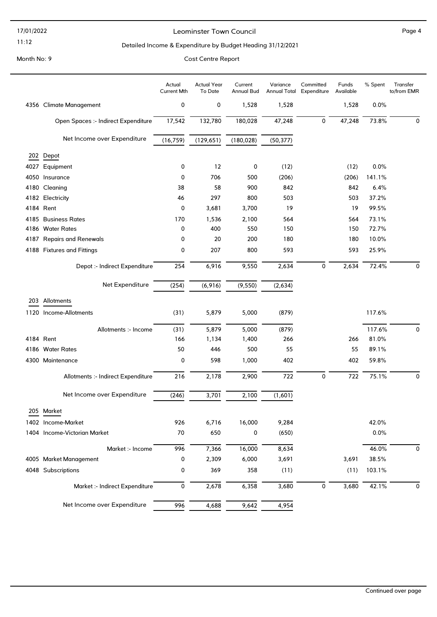17/01/2022

### 11:12

#### Leominster Town Council and the contract of the Page 4

#### Detailed Income & Expenditure by Budget Heading 31/12/2021

|                                     | Actual<br><b>Current Mth</b> | <b>Actual Year</b><br>To Date | Current<br>Annual Bud | Variance<br><b>Annual Total</b> | Committed<br>Expenditure | Funds<br>Available | % Spent | Transfer<br>to/from EMR |
|-------------------------------------|------------------------------|-------------------------------|-----------------------|---------------------------------|--------------------------|--------------------|---------|-------------------------|
| 4356 Climate Management             | 0                            | 0                             | 1,528                 | 1,528                           |                          | 1,528              | 0.0%    |                         |
| Open Spaces :- Indirect Expenditure | 17,542                       | 132,780                       | 180,028               | 47,248                          | 0                        | 47,248             | 73.8%   | 0                       |
| Net Income over Expenditure         | (16, 759)                    | (129, 651)                    | (180, 028)            | (50, 377)                       |                          |                    |         |                         |
| 202 Depot                           |                              |                               |                       |                                 |                          |                    |         |                         |
| 4027 Equipment                      | 0                            | 12                            | 0                     | (12)                            |                          | (12)               | 0.0%    |                         |
| 4050 Insurance                      | 0                            | 706                           | 500                   | (206)                           |                          | (206)              | 141.1%  |                         |
| 4180 Cleaning                       | 38                           | 58                            | 900                   | 842                             |                          | 842                | 6.4%    |                         |
| 4182 Electricity                    | 46                           | 297                           | 800                   | 503                             |                          | 503                | 37.2%   |                         |
| 4184 Rent                           | 0                            | 3,681                         | 3,700                 | 19                              |                          | 19                 | 99.5%   |                         |
| 4185 Business Rates                 | 170                          | 1,536                         | 2,100                 | 564                             |                          | 564                | 73.1%   |                         |
| 4186 Water Rates                    | 0                            | 400                           | 550                   | 150                             |                          | 150                | 72.7%   |                         |
| 4187 Repairs and Renewals           | 0                            | 20                            | 200                   | 180                             |                          | 180                | 10.0%   |                         |
| 4188 Fixtures and Fittings          | 0                            | 207                           | 800                   | 593                             |                          | 593                | 25.9%   |                         |
| Depot :- Indirect Expenditure       | 254                          | 6,916                         | 9,550                 | 2,634                           | 0                        | 2,634              | 72.4%   | 0                       |
| Net Expenditure                     | (254)                        | (6,916)                       | (9, 550)              | (2,634)                         |                          |                    |         |                         |
| 203 Allotments                      |                              |                               |                       |                                 |                          |                    |         |                         |
| 1120 Income-Allotments              | (31)                         | 5,879                         | 5,000                 | (879)                           |                          |                    | 117.6%  |                         |
| Allotments :- Income                | (31)                         | 5,879                         | 5,000                 | (879)                           |                          |                    | 117.6%  | 0                       |
| 4184 Rent                           | 166                          | 1,134                         | 1,400                 | 266                             |                          | 266                | 81.0%   |                         |
| 4186 Water Rates                    | 50                           | 446                           | 500                   | 55                              |                          | 55                 | 89.1%   |                         |
| 4300 Maintenance                    | 0                            | 598                           | 1,000                 | 402                             |                          | 402                | 59.8%   |                         |
| Allotments :- Indirect Expenditure  | 216                          | 2,178                         | 2,900                 | 722                             | 0                        | 722                | 75.1%   | 0                       |
| Net Income over Expenditure         | (246)                        | 3,701                         | 2,100                 | (1,601)                         |                          |                    |         |                         |
| 205 Market                          |                              |                               |                       |                                 |                          |                    |         |                         |
| 1402 Income-Market                  | 926                          | 6,716                         | 16,000                | 9,284                           |                          |                    | 42.0%   |                         |
| 1404 Income-Victorian Market        | 70                           | 650                           | 0                     | (650)                           |                          |                    | 0.0%    |                         |
| Market :- Income                    | 996                          | 7,366                         | 16,000                | 8,634                           |                          |                    | 46.0%   | 0                       |
| 4005 Market Management              | 0                            | 2,309                         | 6,000                 | 3,691                           |                          | 3,691              | 38.5%   |                         |
| 4048 Subscriptions                  | 0                            | 369                           | 358                   | (11)                            |                          | (11)               | 103.1%  |                         |
| Market :- Indirect Expenditure      | 0                            | 2,678                         | 6,358                 | 3,680                           | 0                        | 3,680              | 42.1%   | 0                       |
| Net Income over Expenditure         | 996                          | 4,688                         | 9,642                 | 4,954                           |                          |                    |         |                         |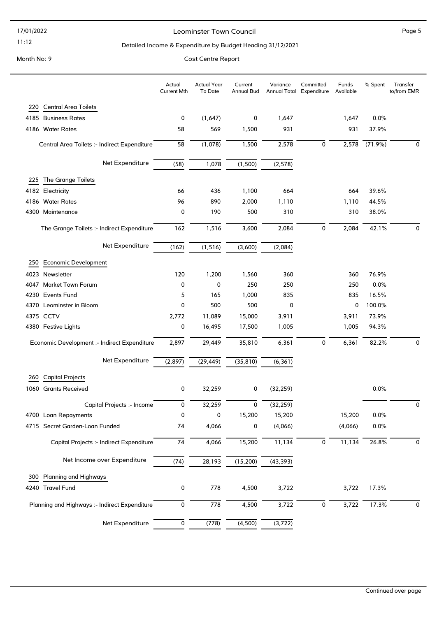#### 17/01/2022

#### 11:12

#### Leominster Town Council and the contract of the Page 5

#### Detailed Income & Expenditure by Budget Heading 31/12/2021

Month No: 9 Cost Centre Report

### Actual Year To Date Current Annual Bud Variance Annual Total Expenditure Committed Funds Available Actual Current Mth % Spent Transfer to/from EMR 220 Central Area Toilets 4185 Business Rates 0 (1,647) 0 1,647 1,647 0.0% 4186 Water Rates 58 569 1,500 931 931 37.9% Central Area Toilets :- Indirect Expenditure 58 (1,078) 1,500 2,578 0 2,578 (71.9%) 0 Net Expenditure (58) 1,078 (1,500) (2,578) 225 The Grange Toilets 4182 Electricity 66 436 1,100 664 664 39.6% 4186 Water Rates 96 890 2,000 1,110 1,110 44.5% 4300 Maintenance 0 190 500 310 310 38.0% The Grange Toilets :- Indirect Expenditure 162 1,516 3,600 2,084 0 2,084 42.1% 0 Net Expenditure (162) (1,516) (3,600) (2,084) 250 Economic Development 4023 Newsletter 120 1,200 1,560 360 360 76.9% 4047 Market Town Forum 0 0 250 250 250 0.0% 4230 Events Fund 5 165 1,000 835 835 16.5% 4370 Leominster in Bloom **0** 100.0% **0** 500 500 0 100.0% 4375 CCTV 2,772 11,089 15,000 3,911 3,911 73.9% 4380 Festive Lights 0 16,495 17,500 1,005 1,005 94.3% Economic Development :- Indirect Expenditure 2,897 29,449 35,810 6,361 0 6,361 82.2% 0 Net Expenditure  $\overline{(2,897)}$   $\overline{(29,449)}$   $\overline{(35,810)}$   $\overline{(6,361)}$ 260 Capital Projects 1060 Grants Received 0 32,259 0 (32,259) 0.0% Capital Projects :- Income 0 32,259 0 (32,259) 0 4700 Loan Repayments 0 0 15,200 15,200 15,200 0.0% 4715 Secret Garden-Loan Funded 74 4,066 0 (4,066) (4,066) 0.0% Capital Projects :- Indirect Expenditure  $\overline{74}$   $\overline{4,066}$   $\overline{15,200}$   $\overline{11,134}$   $\overline{0}$   $\overline{11,134}$   $\overline{26.8\%}$   $\overline{0}$ Net Income over Expenditure  $\frac{(74)}{(74)}$  28,193  $\frac{(15,200)}{(15,200)}$  (43,393) 300 Planning and Highways 4240 Travel Fund 0 778 4,500 3,722 3,722 17.3% Planning and Highways :- Indirect Expenditure  $\overline{0}$   $\overline{778}$   $\overline{4,500}$   $\overline{3,722}$   $\overline{0}$   $\overline{3,722}$   $\overline{17.3\%}$   $\overline{0}$ Net Expenditure  $\overline{0}$   $(778)$   $(4,500)$   $(3,722)$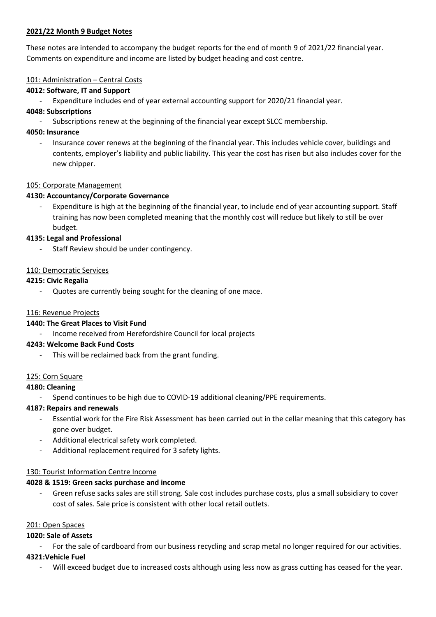#### **2021/22 Month 9 Budget Notes**

These notes are intended to accompany the budget reports for the end of month 9 of 2021/22 financial year. Comments on expenditure and income are listed by budget heading and cost centre.

#### 101: Administration - Central Costs

#### **4012: Software, IT and Support**

Expenditure includes end of year external accounting support for 2020/21 financial year.

#### **4048: Subscriptions**

Subscriptions renew at the beginning of the financial year except SLCC membership.

#### **4050: Insurance**

- Insurance cover renews at the beginning of the financial year. This includes vehicle cover, buildings and contents, employer's liability and public liability. This year the cost has risen but also includes cover for the new chipper.

#### 105: Corporate Management

#### **4130: Accountancy/Corporate Governance**

Expenditure is high at the beginning of the financial year, to include end of year accounting support. Staff training has now been completed meaning that the monthly cost will reduce but likely to still be over budget.

#### **4135: Legal and Professional**

Staff Review should be under contingency.

#### 110: Democratic Services

#### **4215: Civic Regalia**

Quotes are currently being sought for the cleaning of one mace.

#### 116: Revenue Projects

#### **1440: The Great Places to Visit Fund**

- Income received from Herefordshire Council for local projects

#### **4243: Welcome Back Fund Costs**

This will be reclaimed back from the grant funding.

#### 125: Corn Square

#### **4180: Cleaning**

Spend continues to be high due to COVID-19 additional cleaning/PPE requirements.

#### **4187: Repairs and renewals**

- Essential work for the Fire Risk Assessment has been carried out in the cellar meaning that this category has gone over budget.
- Additional electrical safety work completed.
- Additional replacement required for 3 safety lights.

#### 130: Tourist Information Centre Income

#### **4028 & 1519: Green sacks purchase and income**

Green refuse sacks sales are still strong. Sale cost includes purchase costs, plus a small subsidiary to cover cost of sales. Sale price is consistent with other local retail outlets.

#### 201: Open Spaces

#### **1020: Sale of Assets**

For the sale of cardboard from our business recycling and scrap metal no longer required for our activities.

#### **4321:Vehicle Fuel**

Will exceed budget due to increased costs although using less now as grass cutting has ceased for the year.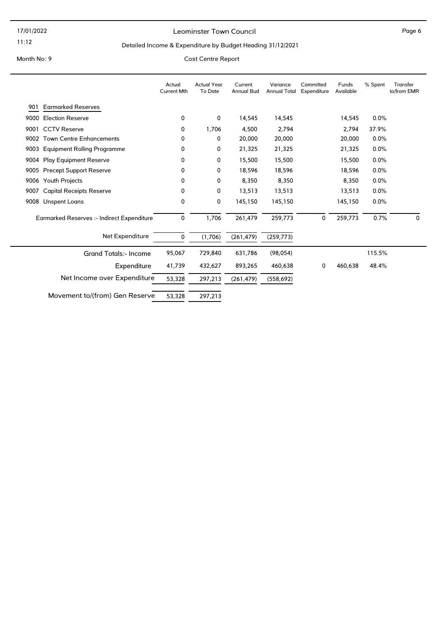#### Leominster Town Council and the contract of the Page 6

#### Detailed Income & Expenditure by Budget Heading 31/12/2021

|                              |                                            | Actual<br><b>Current Mth</b> | <b>Actual Year</b><br>To Date | Current<br><b>Annual Bud</b> | Variance<br><b>Annual Total</b> | Committed<br>Expenditure | Funds<br>Available | % Spent | Transfer<br>to/from EMR |
|------------------------------|--------------------------------------------|------------------------------|-------------------------------|------------------------------|---------------------------------|--------------------------|--------------------|---------|-------------------------|
| 901                          | <b>Earmarked Reserves</b>                  |                              |                               |                              |                                 |                          |                    |         |                         |
| 9000                         | <b>Election Reserve</b>                    | 0                            | 0                             | 14,545                       | 14,545                          |                          | 14,545             | 0.0%    |                         |
| 9001                         | <b>CCTV Reserve</b>                        |                              | 1,706                         | 4,500                        | 2,794                           |                          | 2,794              | 37.9%   |                         |
| 9002                         | <b>Town Centre Enhancements</b>            |                              | 0                             | 20,000                       | 20,000                          |                          | 20,000             | 0.0%    |                         |
| 9003                         | <b>Equipment Rolling Programme</b>         | 0                            | 0                             | 21,325                       | 21,325                          |                          | 21,325             | 0.0%    |                         |
|                              | 9004 Play Equipment Reserve                | 0                            | 0                             | 15,500                       | 15,500                          |                          | 15,500             | 0.0%    |                         |
| 9005                         | <b>Precept Support Reserve</b>             | 0                            | 0                             | 18,596                       | 18,596                          |                          | 18,596             | 0.0%    |                         |
| Youth Projects<br>9006       |                                            | 0                            | 0                             | 8,350                        | 8,350                           |                          | 8,350              | 0.0%    |                         |
| 9007                         | <b>Capital Receipts Reserve</b>            |                              | 0                             | 13,513                       | 13,513                          |                          | 13,513             | 0.0%    |                         |
|                              | 9008 Unspent Loans                         | 0                            | 0                             | 145,150                      | 145,150                         |                          | 145,150            | 0.0%    |                         |
|                              | Earmarked Reserves :- Indirect Expenditure | 0                            | 1,706                         | 261,479                      | 259,773                         | 0                        | 259,773            | 0.7%    | $\mathbf{0}$            |
|                              | Net Expenditure                            | 0                            | (1,706)                       | (261, 479)                   | (259, 773)                      |                          |                    |         |                         |
| <b>Grand Totals:- Income</b> |                                            | 95,067                       | 729,840                       | 631,786                      | (98, 054)                       |                          |                    | 115.5%  |                         |
| Expenditure                  |                                            | 41,739                       | 432,627                       | 893,265                      | 460,638                         | 0                        | 460,638            | 48.4%   |                         |
| Net Income over Expenditure  |                                            | 53,328                       | 297,213                       | (261, 479)                   | (558, 692)                      |                          |                    |         |                         |
|                              | Movement to/(from) Gen Reserve             | 53,328                       | 297,213                       |                              |                                 |                          |                    |         |                         |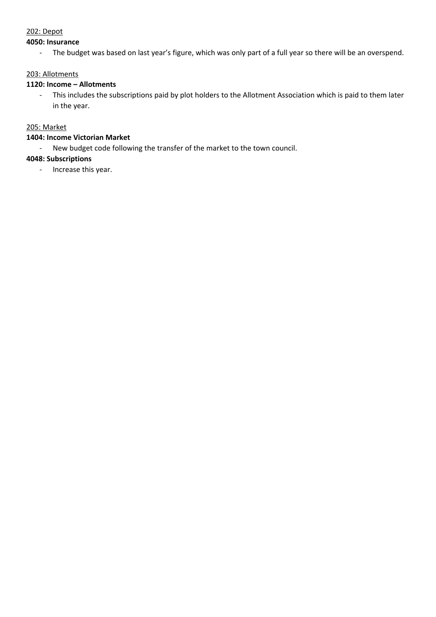#### 202: Depot

#### **4050: Insurance**

- The budget was based on last year's figure, which was only part of a full year so there will be an overspend.

#### 203: Allotments

#### 1120: Income - Allotments

- This includes the subscriptions paid by plot holders to the Allotment Association which is paid to them later in the year.

#### 205: Market

### **1404: Income Victorian Market**

- New budget code following the transfer of the market to the town council.

#### **4048: Subscriptions**

- Increase this year.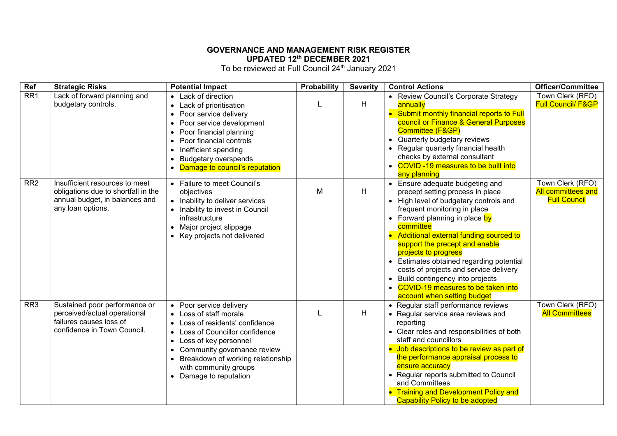#### **GOVERNANCE AND MANAGEMENT RISK REGISTER UPDATED 12th DECEMBER 2021**

To be reviewed at Full Council 24<sup>th</sup> January 2021

| Ref             | <b>Strategic Risks</b>                                                                                                       | <b>Potential Impact</b>                                                                                                                                                                                                                                                                                                                                   | Probability | <b>Severity</b> | <b>Control Actions</b>                                                                                                                                                                                                                                                                                                                                                                                                                                                                     | <b>Officer/Committee</b>                                      |
|-----------------|------------------------------------------------------------------------------------------------------------------------------|-----------------------------------------------------------------------------------------------------------------------------------------------------------------------------------------------------------------------------------------------------------------------------------------------------------------------------------------------------------|-------------|-----------------|--------------------------------------------------------------------------------------------------------------------------------------------------------------------------------------------------------------------------------------------------------------------------------------------------------------------------------------------------------------------------------------------------------------------------------------------------------------------------------------------|---------------------------------------------------------------|
| RR1             | Lack of forward planning and<br>budgetary controls.                                                                          | • Lack of direction<br>Lack of prioritisation<br>$\bullet$<br>Poor service delivery<br>$\bullet$<br>Poor service development<br>$\bullet$<br>Poor financial planning<br>$\bullet$<br>Poor financial controls<br>$\bullet$<br>Inefficient spending<br>$\bullet$<br><b>Budgetary overspends</b><br>$\bullet$<br>Damage to council's reputation<br>$\bullet$ |             | H               | • Review Council's Corporate Strategy<br>annually<br>Submit monthly financial reports to Full<br>council or Finance & General Purposes<br>Committee (F&GP)<br>Quarterly budgetary reviews<br>Regular quarterly financial health<br>checks by external consultant<br>COVID-19 measures to be built into<br>any planning                                                                                                                                                                     | Town Clerk (RFO)<br><b>Full Council/ F&amp;GP</b>             |
| RR <sub>2</sub> | Insufficient resources to meet<br>obligations due to shortfall in the<br>annual budget, in balances and<br>any loan options. | Failure to meet Council's<br>$\bullet$<br>objectives<br>• Inability to deliver services<br>Inability to invest in Council<br>infrastructure<br>Major project slippage<br>$\bullet$<br>Key projects not delivered                                                                                                                                          | M           | H               | Ensure adequate budgeting and<br>precept setting process in place<br>• High level of budgetary controls and<br>frequent monitoring in place<br>• Forward planning in place by<br>committee<br>Additional external funding sourced to<br>support the precept and enable<br>projects to progress<br>Estimates obtained regarding potential<br>costs of projects and service delivery<br>Build contingency into projects<br>COVID-19 measures to be taken into<br>account when setting budget | Town Clerk (RFO)<br>All committees and<br><b>Full Council</b> |
| RR <sub>3</sub> | Sustained poor performance or<br>perceived/actual operational<br>failures causes loss of<br>confidence in Town Council.      | Poor service delivery<br>$\bullet$<br>Loss of staff morale<br>Loss of residents' confidence<br>$\bullet$<br>Loss of Councillor confidence<br>$\bullet$<br>Loss of key personnel<br>$\bullet$<br>Community governance review<br>$\bullet$<br>Breakdown of working relationship<br>with community groups<br>• Damage to reputation                          |             | H               | • Regular staff performance reviews<br>• Regular service area reviews and<br>reporting<br>• Clear roles and responsibilities of both<br>staff and councillors<br>• Job descriptions to be review as part of<br>the performance appraisal process to<br>ensure accuracy<br>• Regular reports submitted to Council<br>and Committees<br><b>Training and Development Policy and</b><br><b>Capability Policy to be adopted</b>                                                                 | Town Clerk (RFO)<br><b>All Committees</b>                     |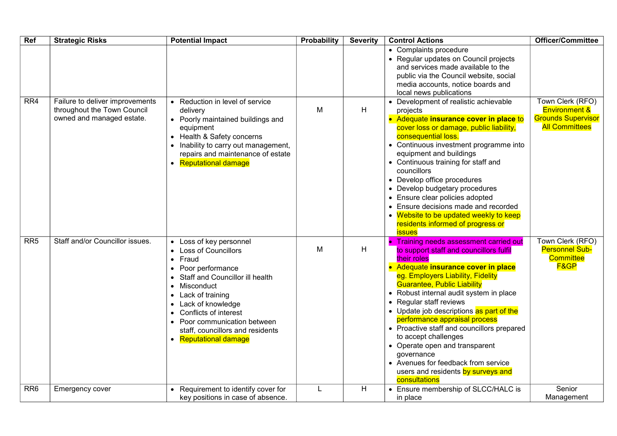| Ref             | <b>Strategic Risks</b>                                         | <b>Potential Impact</b>                                                                                                                                                                                                                                                                                                                                  | Probability | <b>Severity</b> | <b>Control Actions</b>                                                                                                                                                                                                                                                                                                                                                                                                                                                                                                                                                                   | Officer/Committee                                                                |
|-----------------|----------------------------------------------------------------|----------------------------------------------------------------------------------------------------------------------------------------------------------------------------------------------------------------------------------------------------------------------------------------------------------------------------------------------------------|-------------|-----------------|------------------------------------------------------------------------------------------------------------------------------------------------------------------------------------------------------------------------------------------------------------------------------------------------------------------------------------------------------------------------------------------------------------------------------------------------------------------------------------------------------------------------------------------------------------------------------------------|----------------------------------------------------------------------------------|
| RR4             | Failure to deliver improvements<br>throughout the Town Council | • Reduction in level of service<br>delivery                                                                                                                                                                                                                                                                                                              | M           | H               | • Complaints procedure<br>• Regular updates on Council projects<br>and services made available to the<br>public via the Council website, social<br>media accounts, notice boards and<br>local news publications<br>• Development of realistic achievable<br>projects                                                                                                                                                                                                                                                                                                                     | Town Clerk (RFO)<br><b>Environment &amp;</b>                                     |
|                 | owned and managed estate.                                      | • Poorly maintained buildings and<br>equipment<br>• Health & Safety concerns<br>• Inability to carry out management,<br>repairs and maintenance of estate<br>• Reputational damage                                                                                                                                                                       |             |                 | Adequate insurance cover in place to<br>cover loss or damage, public liability,<br>consequential loss.<br>• Continuous investment programme into<br>equipment and buildings<br>• Continuous training for staff and<br>councillors<br>• Develop office procedures<br>• Develop budgetary procedures<br>Ensure clear policies adopted<br>Ensure decisions made and recorded<br>• Website to be updated weekly to keep<br>residents informed of progress or<br><b>issues</b>                                                                                                                | <b>Grounds Supervisor</b><br><b>All Committees</b>                               |
| RR <sub>5</sub> | Staff and/or Councillor issues.                                | • Loss of key personnel<br><b>Loss of Councillors</b><br>$\bullet$<br>Fraud<br>$\bullet$<br>• Poor performance<br>Staff and Councillor ill health<br>Misconduct<br>Lack of training<br>$\bullet$<br>Lack of knowledge<br>Conflicts of interest<br>$\bullet$<br>• Poor communication between<br>staff, councillors and residents<br>• Reputational damage | M           | H               | Training needs assessment carried out<br>to support staff and councillors fulfil<br>their roles<br>• Adequate insurance cover in place<br>eg. Employers Liability, Fidelity<br><b>Guarantee, Public Liability</b><br>• Robust internal audit system in place<br>• Regular staff reviews<br>• Update job descriptions as part of the<br>performance appraisal process<br>• Proactive staff and councillors prepared<br>to accept challenges<br>• Operate open and transparent<br>governance<br>• Avenues for feedback from service<br>users and residents by surveys and<br>consultations | Town Clerk (RFO)<br><b>Personnel Sub-</b><br><b>Committee</b><br><b>F&amp;GP</b> |
| RR <sub>6</sub> | Emergency cover                                                | Requirement to identify cover for<br>key positions in case of absence.                                                                                                                                                                                                                                                                                   | L           | H               | • Ensure membership of SLCC/HALC is<br>in place                                                                                                                                                                                                                                                                                                                                                                                                                                                                                                                                          | Senior<br>Management                                                             |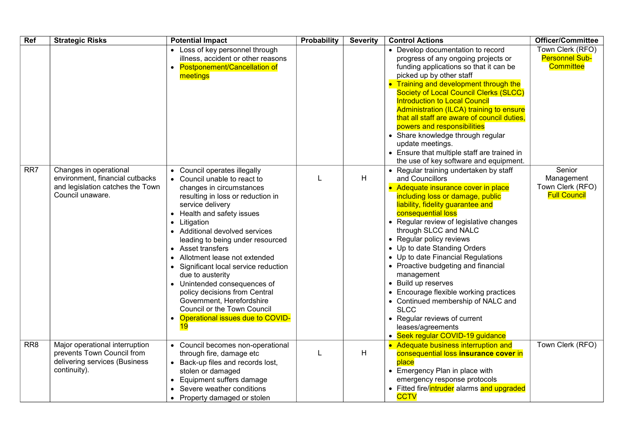| Ref             | <b>Strategic Risks</b>                                                                                            | <b>Potential Impact</b>                                                                                                                                                                                                                                                                                                                                                                                                                                                                                                                                                                                               | Probability | <b>Severity</b> | <b>Control Actions</b>                                                                                                                                                                                                                                                                                                                                                                                                                                                                                                                                                                                                                  | <b>Officer/Committee</b>                                        |
|-----------------|-------------------------------------------------------------------------------------------------------------------|-----------------------------------------------------------------------------------------------------------------------------------------------------------------------------------------------------------------------------------------------------------------------------------------------------------------------------------------------------------------------------------------------------------------------------------------------------------------------------------------------------------------------------------------------------------------------------------------------------------------------|-------------|-----------------|-----------------------------------------------------------------------------------------------------------------------------------------------------------------------------------------------------------------------------------------------------------------------------------------------------------------------------------------------------------------------------------------------------------------------------------------------------------------------------------------------------------------------------------------------------------------------------------------------------------------------------------------|-----------------------------------------------------------------|
|                 |                                                                                                                   | • Loss of key personnel through<br>illness, accident or other reasons<br>• Postponement/Cancellation of<br>meetings                                                                                                                                                                                                                                                                                                                                                                                                                                                                                                   |             |                 | • Develop documentation to record<br>progress of any ongoing projects or<br>funding applications so that it can be<br>picked up by other staff<br>• Training and development through the<br><b>Society of Local Council Clerks (SLCC)</b><br><b>Introduction to Local Council</b><br>Administration (ILCA) training to ensure<br>that all staff are aware of council duties,<br>powers and responsibilities<br>• Share knowledge through regular<br>update meetings.<br>• Ensure that multiple staff are trained in<br>the use of key software and equipment.                                                                           | Town Clerk (RFO)<br><b>Personnel Sub-</b><br><b>Committee</b>   |
| RR7             | Changes in operational<br>environment, financial cutbacks<br>and legislation catches the Town<br>Council unaware. | • Council operates illegally<br>• Council unable to react to<br>changes in circumstances<br>resulting in loss or reduction in<br>service delivery<br>Health and safety issues<br>$\bullet$<br>Litigation<br>$\bullet$<br>Additional devolved services<br>leading to being under resourced<br>• Asset transfers<br>Allotment lease not extended<br>$\bullet$<br>Significant local service reduction<br>$\bullet$<br>due to austerity<br>Unintended consequences of<br>$\bullet$<br>policy decisions from Central<br>Government, Herefordshire<br>Council or the Town Council<br>Operational issues due to COVID-<br>19 | L           | H               | • Regular training undertaken by staff<br>and Councillors<br>• Adequate insurance cover in place<br>including loss or damage, public<br>liability, fidelity guarantee and<br>consequential loss<br>• Regular review of legislative changes<br>through SLCC and NALC<br>• Regular policy reviews<br>• Up to date Standing Orders<br>• Up to date Financial Regulations<br>• Proactive budgeting and financial<br>management<br>• Build up reserves<br>• Encourage flexible working practices<br>Continued membership of NALC and<br><b>SLCC</b><br>• Regular reviews of current<br>leases/agreements<br>• Seek regular COVID-19 guidance | Senior<br>Management<br>Town Clerk (RFO)<br><b>Full Council</b> |
| RR <sub>8</sub> | Major operational interruption<br>prevents Town Council from<br>delivering services (Business<br>continuity).     | • Council becomes non-operational<br>through fire, damage etc<br>Back-up files and records lost,<br>stolen or damaged<br>Equipment suffers damage<br>$\bullet$<br>Severe weather conditions<br>Property damaged or stolen                                                                                                                                                                                                                                                                                                                                                                                             | L           | H               | • Adequate business interruption and<br>consequential loss insurance cover in<br>place<br>• Emergency Plan in place with<br>emergency response protocols<br>Fitted fire/intruder alarms and upgraded<br><b>CCTV</b>                                                                                                                                                                                                                                                                                                                                                                                                                     | Town Clerk (RFO)                                                |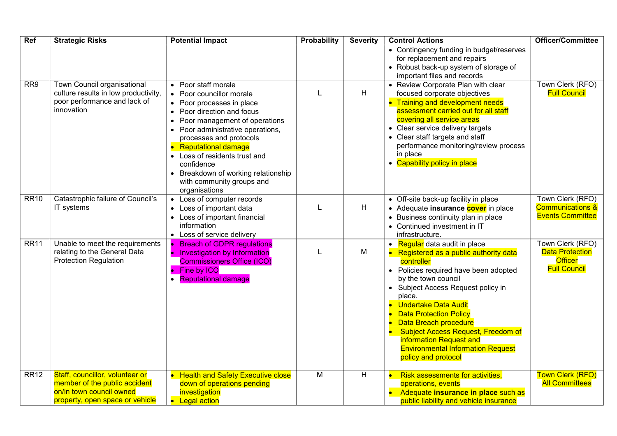| <b>Ref</b>  | <b>Strategic Risks</b>                                                                                                          | <b>Potential Impact</b>                                                                                                                                                                                                                                                                                                                                                                                                                | Probability | <b>Severity</b> | <b>Control Actions</b>                                                                                                                                                                                                                                                                                                                                                                                                                          | Officer/Committee                                                                   |
|-------------|---------------------------------------------------------------------------------------------------------------------------------|----------------------------------------------------------------------------------------------------------------------------------------------------------------------------------------------------------------------------------------------------------------------------------------------------------------------------------------------------------------------------------------------------------------------------------------|-------------|-----------------|-------------------------------------------------------------------------------------------------------------------------------------------------------------------------------------------------------------------------------------------------------------------------------------------------------------------------------------------------------------------------------------------------------------------------------------------------|-------------------------------------------------------------------------------------|
|             |                                                                                                                                 |                                                                                                                                                                                                                                                                                                                                                                                                                                        |             |                 | • Contingency funding in budget/reserves<br>for replacement and repairs<br>• Robust back-up system of storage of<br>important files and records                                                                                                                                                                                                                                                                                                 |                                                                                     |
| RR9         | Town Council organisational<br>culture results in low productivity,<br>poor performance and lack of<br>innovation               | Poor staff morale<br>$\bullet$<br>Poor councillor morale<br>$\bullet$<br>• Poor processes in place<br>• Poor direction and focus<br>Poor management of operations<br>$\bullet$<br>Poor administrative operations,<br>processes and protocols<br><b>Reputational damage</b><br>$\bullet$<br>• Loss of residents trust and<br>confidence<br>Breakdown of working relationship<br>$\bullet$<br>with community groups and<br>organisations | L           | H               | • Review Corporate Plan with clear<br>focused corporate objectives<br><b>Training and development needs</b><br>assessment carried out for all staff<br>covering all service areas<br>Clear service delivery targets<br>• Clear staff targets and staff<br>performance monitoring/review process<br>in place<br>• Capability policy in place                                                                                                     | Town Clerk (RFO)<br><b>Full Council</b>                                             |
| <b>RR10</b> | Catastrophic failure of Council's<br>IT systems                                                                                 | Loss of computer records<br>$\bullet$<br>Loss of important data<br>• Loss of important financial<br>information<br>• Loss of service delivery                                                                                                                                                                                                                                                                                          | L           | H               | • Off-site back-up facility in place<br>Adequate insurance cover in place<br>$\bullet$<br>Business continuity plan in place<br>• Continued investment in IT<br>infrastructure.                                                                                                                                                                                                                                                                  | Town Clerk (RFO)<br><b>Communications &amp;</b><br><b>Events Committee</b>          |
| <b>RR11</b> | Unable to meet the requirements<br>relating to the General Data<br><b>Protection Regulation</b>                                 | <b>Breach of GDPR regulations</b><br><b>Investigation by Information</b><br>$\bullet$<br><b>Commissioners Office (ICO)</b><br>Fine by ICO<br>$\bullet$<br><b>Reputational damage</b>                                                                                                                                                                                                                                                   | L           | M               | Regular data audit in place<br>Registered as a public authority data<br>controller<br>Policies required have been adopted<br>by the town council<br>Subject Access Request policy in<br>$\bullet$<br>place.<br><b>Undertake Data Audit</b><br><b>Data Protection Policy</b><br>Data Breach procedure<br><b>Subject Access Request, Freedom of</b><br>information Request and<br><b>Environmental Information Request</b><br>policy and protocol | Town Clerk (RFO)<br><b>Data Protection</b><br><b>Officer</b><br><b>Full Council</b> |
| <b>RR12</b> | Staff, councillor, volunteer or<br>member of the public accident<br>on/in town council owned<br>property, open space or vehicle | <b>Health and Safety Executive close</b><br>down of operations pending<br>investigation<br>• Legal action                                                                                                                                                                                                                                                                                                                              | M           | H               | <b>Risk assessments for activities,</b><br>operations, events<br>Adequate insurance in place such as<br>public liability and vehicle insurance                                                                                                                                                                                                                                                                                                  | <b>Town Clerk (RFO)</b><br><b>All Committees</b>                                    |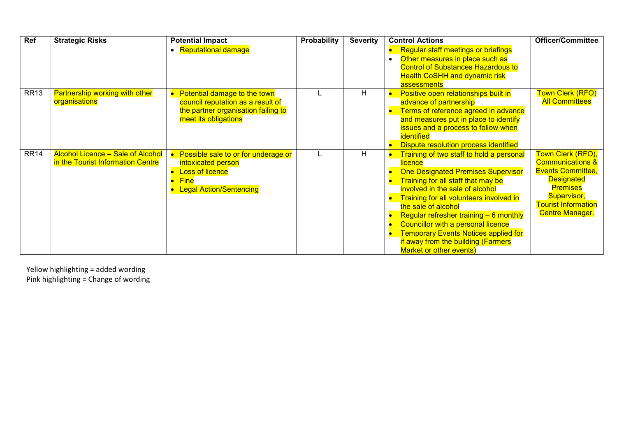| Ref         | <b>Strategic Risks</b>                                                        | <b>Potential Impact</b>                                                                                                          | <b>Probability</b> | <b>Severity</b> | <b>Control Actions</b>                                                                                                                                                                                                                                                                                                                                                                                                                              | <b>Officer/Committee</b>                                                                                                                                                                    |
|-------------|-------------------------------------------------------------------------------|----------------------------------------------------------------------------------------------------------------------------------|--------------------|-----------------|-----------------------------------------------------------------------------------------------------------------------------------------------------------------------------------------------------------------------------------------------------------------------------------------------------------------------------------------------------------------------------------------------------------------------------------------------------|---------------------------------------------------------------------------------------------------------------------------------------------------------------------------------------------|
|             |                                                                               | • Reputational damage                                                                                                            |                    |                 | <b>Regular staff meetings or briefings</b><br>Other measures in place such as<br><b>Control of Substances Hazardous to</b><br><b>Health CoSHH and dynamic risk</b><br>assessments                                                                                                                                                                                                                                                                   |                                                                                                                                                                                             |
| <b>RR13</b> | <b>Partnership working with other</b><br>organisations                        | Potential damage to the town<br>council reputation as a result of<br>the partner organisation failing to<br>meet its obligations |                    | H               | Positive open relationships built in<br>advance of partnership<br>Terms of reference agreed in advance<br>and measures put in place to identify<br>issues and a process to follow when<br>identified<br>Dispute resolution process identified                                                                                                                                                                                                       | Town Clerk (RFO)<br><b>All Committees</b>                                                                                                                                                   |
| <b>RR14</b> | <b>Alcohol Licence - Sale of Alcohol</b><br>in the Tourist Information Centre | Possible sale to or for underage or<br>intoxicated person<br><b>Loss of licence</b><br><b>Fine</b><br>• Legal Action/Sentencing  |                    | н               | Training of two staff to hold a personal<br><b>licence</b><br><b>One Designated Premises Supervisor</b><br>Training for all staff that may be<br>involved in the sale of alcohol<br>Training for all volunteers involved in<br>the sale of alcohol<br>Regular refresher training $-6$ monthly<br>Councillor with a personal licence<br><b>Temporary Events Notices applied for</b><br>if away from the building (Farmers<br>Market or other events) | Town Clerk (RFO),<br><b>Communications &amp;</b><br><b>Events Committee,</b><br><b>Designated</b><br><b>Premises</b><br>Supervisor,<br><b>Tourist Information</b><br><b>Centre Manager.</b> |

Yellow highlighting = added wording Pink highlighting = Change of wording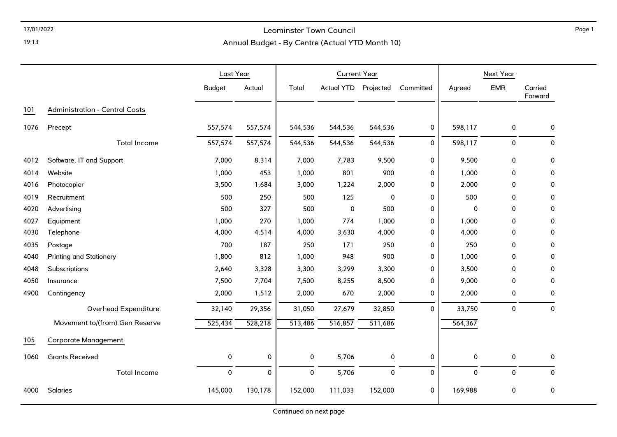### 17/01/2022 Leominster Town Council

### Annual Budget - By Centre (Actual YTD Month 10)

|      |                                       | Last Year     |         | <b>Current Year</b> |                   |           |              | Next Year   |             |                    |
|------|---------------------------------------|---------------|---------|---------------------|-------------------|-----------|--------------|-------------|-------------|--------------------|
|      |                                       | <b>Budget</b> | Actual  | Total               | <b>Actual YTD</b> | Projected | Committed    | Agreed      | <b>EMR</b>  | Carried<br>Forward |
| 101  | <b>Administration - Central Costs</b> |               |         |                     |                   |           |              |             |             |                    |
| 1076 | Precept                               | 557,574       | 557,574 | 544,536             | 544,536           | 544,536   | $\pmb{0}$    | 598,117     | $\pmb{0}$   | 0                  |
|      | <b>Total Income</b>                   | 557,574       | 557,574 | 544,536             | 544,536           | 544,536   | $\mathbf{0}$ | 598,117     | $\mathbf 0$ | $\mathbf{0}$       |
| 4012 | Software, IT and Support              | 7,000         | 8,314   | 7,000               | 7,783             | 9,500     | 0            | 9,500       | $\pmb{0}$   | 0                  |
| 4014 | Website                               | 1,000         | 453     | 1,000               | 801               | 900       | 0            | 1,000       | $\mathbf 0$ | 0                  |
| 4016 | Photocopier                           | 3,500         | 1,684   | 3,000               | 1,224             | 2,000     | 0            | 2,000       | $\mathbf 0$ | $\mathbf 0$        |
| 4019 | Recruitment                           | 500           | 250     | 500                 | 125               | 0         | 0            | 500         | $\mathbf 0$ | 0                  |
| 4020 | Advertising                           | 500           | 327     | 500                 | $\pmb{0}$         | 500       | 0            | $\mathbf 0$ | $\mathbf 0$ | 0                  |
| 4027 | Equipment                             | 1,000         | 270     | 1,000               | 774               | 1,000     | 0            | 1,000       | $\mathbf 0$ | 0                  |
| 4030 | Telephone                             | 4,000         | 4,514   | 4,000               | 3,630             | 4,000     | 0            | 4,000       | 0           | 0                  |
| 4035 | Postage                               | 700           | 187     | 250                 | 171               | 250       | 0            | 250         | $\mathbf 0$ | 0                  |
| 4040 | <b>Printing and Stationery</b>        | 1,800         | 812     | 1,000               | 948               | 900       | 0            | 1,000       | $\mathbf 0$ | 0                  |
| 4048 | Subscriptions                         | 2,640         | 3,328   | 3,300               | 3,299             | 3,300     | 0            | 3,500       | 0           | 0                  |
| 4050 | Insurance                             | 7,500         | 7,704   | 7,500               | 8,255             | 8,500     | 0            | 9,000       | $\mathbf 0$ | 0                  |
| 4900 | Contingency                           | 2,000         | 1,512   | 2,000               | 670               | 2,000     | 0            | 2,000       | $\mathbf 0$ | 0                  |
|      | Overhead Expenditure                  | 32,140        | 29,356  | 31,050              | 27,679            | 32,850    | $\mathbf 0$  | 33,750      | $\mathbf 0$ | $\mathbf{0}$       |
|      | Movement to/(from) Gen Reserve        | 525,434       | 528,218 | 513,486             | 516,857           | 511,686   |              | 564,367     |             |                    |
| 105  | <b>Corporate Management</b>           |               |         |                     |                   |           |              |             |             |                    |
| 1060 | <b>Grants Received</b>                | 0             | 0       | $\mathsf{O}\xspace$ | 5,706             | $\pmb{0}$ | 0            | 0           | $\pmb{0}$   | 0                  |
|      | <b>Total Income</b>                   | $\mathsf{O}$  | 0       | $\mathsf{O}\xspace$ | 5,706             | $\pmb{0}$ | 0            | $\pmb{0}$   | $\pmb{0}$   | $\pmb{0}$          |
| 4000 | Salaries                              | 145,000       | 130,178 | 152,000             | 111,033           | 152,000   | 0            | 169,988     | 0           | 0                  |

Page 1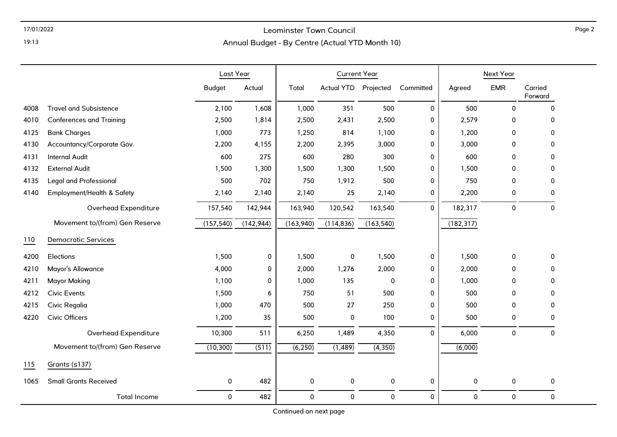## 17/01/2022 Leominster Town Council

Annual Budget - By Centre (Actual YTD Month 10)

|      |                                 | Last Year     |            |             | <b>Current Year</b> |                     |           | Next Year   |             |                    |
|------|---------------------------------|---------------|------------|-------------|---------------------|---------------------|-----------|-------------|-------------|--------------------|
|      |                                 | <b>Budget</b> | Actual     | Total       | <b>Actual YTD</b>   | Projected           | Committed | Agreed      | <b>EMR</b>  | Carried<br>Forward |
| 4008 | <b>Travel and Subsistence</b>   | 2,100         | 1,608      | 1,000       | 351                 | 500                 | 0         | 500         | $\mathbf 0$ | 0                  |
| 4010 | <b>Conferences and Training</b> | 2,500         | 1,814      | 2,500       | 2,431               | 2,500               | 0         | 2,579       | 0           | 0                  |
| 4125 | <b>Bank Charges</b>             | 1,000         | 773        | 1,250       | 814                 | 1,100               | 0         | 1,200       | $\mathbf 0$ | 0                  |
| 4130 | Accountancy/Corporate Gov.      | 2,200         | 4,155      | 2,200       | 2,395               | 3,000               | 0         | 3,000       | $\Omega$    | 0                  |
| 4131 | <b>Internal Audit</b>           | 600           | 275        | 600         | 280                 | 300                 | 0         | 600         | 0           | 0                  |
| 4132 | <b>External Audit</b>           | 1,500         | 1,300      | 1,500       | 1,300               | 1,500               | 0         | 1,500       | $\Omega$    | 0                  |
| 4135 | <b>Legal and Professional</b>   | 500           | 702        | 750         | 1,912               | 500                 | 0         | 750         | $\Omega$    | 0                  |
| 4140 | Employment/Health & Safety      | 2,140         | 2,140      | 2,140       | 25                  | 2,140               | 0         | 2,200       | 0           | 0                  |
|      | Overhead Expenditure            | 157,540       | 142,944    | 163,940     | 120,542             | 163,540             | $\Omega$  | 182,317     | $\pmb{0}$   | $\mathbf 0$        |
|      | Movement to/(from) Gen Reserve  | (157, 540)    | (142, 944) | (163,940)   | (114, 836)          | (163, 540)          |           | (182, 317)  |             |                    |
| 110  | <b>Democratic Services</b>      |               |            |             |                     |                     |           |             |             |                    |
| 4200 | Elections                       | 1,500         | 0          | 1,500       | $\mathbf 0$         | 1,500               | 0         | 1,500       | $\mathbf 0$ | 0                  |
| 4210 | Mayor's Allowance               | 4,000         | 0          | 2,000       | 1,276               | 2,000               | 0         | 2,000       | $\mathbf 0$ | $\Omega$           |
| 4211 | <b>Mayor Making</b>             | 1,100         | 0          | 1,000       | 135                 | $\mathbf 0$         | 0         | 1,000       | $\mathbf 0$ | 0                  |
| 4212 | <b>Civic Events</b>             | 1,500         | 6          | 750         | 51                  | 500                 | 0         | 500         | $\mathbf 0$ | 0                  |
| 4215 | Civic Regalia                   | 1,000         | 470        | 500         | 27                  | 250                 | 0         | 500         | 0           | 0                  |
| 4220 | <b>Civic Officers</b>           | 1,200         | 35         | 500         | 0                   | 100                 | 0         | 500         | 0           | 0                  |
|      | Overhead Expenditure            | 10,300        | 511        | 6,250       | 1,489               | 4,350               | $\Omega$  | 6,000       | $\pmb{0}$   | 0                  |
|      | Movement to/(from) Gen Reserve  | (10, 300)     | (511)      | (6, 250)    | (1, 489)            | (4, 350)            |           | (6,000)     |             |                    |
| 115  | Grants (s137)                   |               |            |             |                     |                     |           |             |             |                    |
| 1065 | <b>Small Grants Received</b>    | 0             | 482        | 0           | $\pmb{0}$           | $\pmb{0}$           | 0         | 0           | $\pmb{0}$   | 0                  |
|      | <b>Total Income</b>             | 0             | 482        | $\mathbf 0$ | $\mathbf 0$         | $\mathsf{O}\xspace$ | $\Omega$  | $\mathbf 0$ | $\pmb{0}$   | 0                  |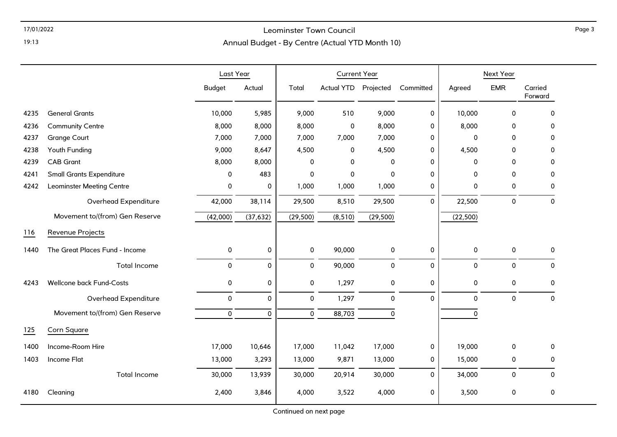## 17/01/2022 Leominster Town Council

Annual Budget - By Centre (Actual YTD Month 10)

|      |                                  | Last Year     |             | <b>Current Year</b> |                   |             |              | Next Year           |              |                    |
|------|----------------------------------|---------------|-------------|---------------------|-------------------|-------------|--------------|---------------------|--------------|--------------------|
|      |                                  | <b>Budget</b> | Actual      | Total               | <b>Actual YTD</b> | Projected   | Committed    | Agreed              | <b>EMR</b>   | Carried<br>Forward |
| 4235 | <b>General Grants</b>            | 10,000        | 5,985       | 9,000               | 510               | 9,000       | 0            | 10,000              | $\Omega$     | 0                  |
| 4236 | <b>Community Centre</b>          | 8,000         | 8,000       | 8,000               | 0                 | 8,000       | $\mathbf 0$  | 8,000               | 0            | 0                  |
| 4237 | <b>Grange Court</b>              | 7,000         | 7,000       | 7,000               | 7,000             | 7,000       | 0            | $\mathbf 0$         | $\Omega$     | 0                  |
| 4238 | Youth Funding                    | 9,000         | 8,647       | 4,500               | 0                 | 4,500       | 0            | 4,500               | 0            | 0                  |
| 4239 | <b>CAB Grant</b>                 | 8,000         | 8,000       | 0                   | $\mathbf 0$       | 0           | 0            | 0                   | 0            | 0                  |
| 4241 | <b>Small Grants Expenditure</b>  | 0             | 483         | 0                   | 0                 | 0           | 0            | 0                   | 0            | 0                  |
| 4242 | <b>Leominster Meeting Centre</b> | 0             | 0           | 1,000               | 1,000             | 1,000       | 0            | 0                   | 0            | 0                  |
|      | Overhead Expenditure             | 42,000        | 38,114      | 29,500              | 8,510             | 29,500      | $\mathbf{0}$ | 22,500              | 0            | 0                  |
|      | Movement to/(from) Gen Reserve   | (42,000)      | (37, 632)   | (29, 500)           | (8, 510)          | (29, 500)   |              | (22, 500)           |              |                    |
| 116  | Revenue Projects                 |               |             |                     |                   |             |              |                     |              |                    |
| 1440 | The Great Places Fund - Income   | 0             | $\pmb{0}$   | $\mathbf 0$         | 90,000            | $\pmb{0}$   | 0            | $\mathsf{O}\xspace$ | $\mathsf{o}$ | 0                  |
|      | <b>Total Income</b>              | 0             | $\mathbf 0$ | 0                   | 90,000            | $\mathbf 0$ | $\mathbf 0$  | $\mathbf 0$         | 0            | $\Omega$           |
| 4243 | <b>Wellcone back Fund-Costs</b>  | 0             | 0           | 0                   | 1,297             | 0           | 0            | 0                   | 0            | 0                  |
|      | Overhead Expenditure             | $\pmb{0}$     | $\pmb{0}$   | $\mathbf 0$         | 1,297             | $\pmb{0}$   | $\mathbf 0$  | 0                   | 0            | 0                  |
|      | Movement to/(from) Gen Reserve   | $\mathbf 0$   | $\mathbf 0$ | $\mathbf 0$         | 88,703            | $\pmb{0}$   |              | $\mathbf 0$         |              |                    |
| 125  | Corn Square                      |               |             |                     |                   |             |              |                     |              |                    |
| 1400 | Income-Room Hire                 | 17,000        | 10,646      | 17,000              | 11,042            | 17,000      | 0            | 19,000              | $\mathbf 0$  | 0                  |
| 1403 | <b>Income Flat</b>               | 13,000        | 3,293       | 13,000              | 9,871             | 13,000      | 0            | 15,000              | 0            | 0                  |
|      | <b>Total Income</b>              | 30,000        | 13,939      | 30,000              | 20,914            | 30,000      | $\Omega$     | 34,000              | $\mathbf{0}$ | $\Omega$           |
| 4180 | Cleaning                         | 2,400         | 3,846       | 4,000               | 3,522             | 4,000       | 0            | 3,500               | 0            | 0                  |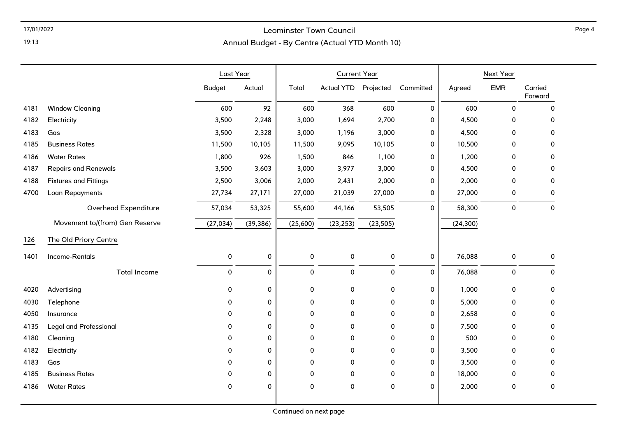## 17/01/2022 Leominster Town Council

Annual Budget - By Centre (Actual YTD Month 10)

|      |                                | Last Year     |           | <b>Current Year</b> |                      |           |             | Next Year |                     |                    |
|------|--------------------------------|---------------|-----------|---------------------|----------------------|-----------|-------------|-----------|---------------------|--------------------|
|      |                                | <b>Budget</b> | Actual    | Total               | Actual YTD Projected |           | Committed   | Agreed    | <b>EMR</b>          | Carried<br>Forward |
| 4181 | <b>Window Cleaning</b>         | 600           | 92        | 600                 | 368                  | 600       | $\mathbf 0$ | 600       | $\mathbf 0$         | $\mathbf 0$        |
| 4182 | Electricity                    | 3,500         | 2,248     | 3,000               | 1,694                | 2,700     | $\mathbf 0$ | 4,500     | $\Omega$            | $\Omega$           |
| 4183 | Gas                            | 3,500         | 2,328     | 3,000               | 1,196                | 3,000     | 0           | 4,500     | 0                   | $\Omega$           |
| 4185 | <b>Business Rates</b>          | 11,500        | 10,105    | 11,500              | 9,095                | 10,105    | 0           | 10,500    | 0                   | 0                  |
| 4186 | <b>Water Rates</b>             | 1,800         | 926       | 1,500               | 846                  | 1,100     | 0           | 1,200     | $\Omega$            | 0                  |
| 4187 | <b>Repairs and Renewals</b>    | 3,500         | 3,603     | 3,000               | 3,977                | 3,000     | 0           | 4,500     | 0                   | 0                  |
| 4188 | <b>Fixtures and Fittings</b>   | 2,500         | 3,006     | 2,000               | 2,431                | 2,000     | $\mathbf 0$ | 2,000     | 0                   | $\mathbf 0$        |
| 4700 | Loan Repayments                | 27,734        | 27,171    | 27,000              | 21,039               | 27,000    | 0           | 27,000    | 0                   | $\mathbf 0$        |
|      | Overhead Expenditure           | 57,034        | 53,325    | 55,600              | 44,166               | 53,505    | 0           | 58,300    | $\pmb{0}$           | $\pmb{0}$          |
|      | Movement to/(from) Gen Reserve | (27, 034)     | (39, 386) | (25,600)            | (23, 253)            | (23, 505) |             | (24, 300) |                     |                    |
| 126  | The Old Priory Centre          |               |           |                     |                      |           |             |           |                     |                    |
| 1401 | Income-Rentals                 | $\mathbf 0$   | 0         | $\pmb{0}$           | 0                    | 0         | $\pmb{0}$   | 76,088    | $\mathbf 0$         | 0                  |
|      | <b>Total Income</b>            | 0             | 0         | $\pmb{0}$           | 0                    | 0         | $\mathbf 0$ | 76,088    | $\mathsf{O}\xspace$ | $\mathbf 0$        |
| 4020 | Advertising                    | $\mathbf 0$   | 0         | 0                   | 0                    | 0         | 0           | 1,000     | 0                   | $\mathbf 0$        |
| 4030 | Telephone                      | 0             | 0         | $\pmb{0}$           | 0                    | $\pmb{0}$ | 0           | 5,000     | 0                   | 0                  |
| 4050 | Insurance                      | 0             | 0         | 0                   | 0                    | 0         | $\mathbf 0$ | 2,658     | 0                   | $\Omega$           |
| 4135 | <b>Legal and Professional</b>  | 0             | 0         | 0                   | 0                    | 0         | $\mathbf 0$ | 7,500     | 0                   | 0                  |
| 4180 | Cleaning                       | 0             | 0         | 0                   | 0                    | 0         | 0           | 500       | 0                   | 0                  |
| 4182 | Electricity                    | 0             | 0         | 0                   | 0                    | 0         | 0           | 3,500     | 0                   | $\mathbf 0$        |
| 4183 | Gas                            | 0             | 0         | 0                   | 0                    | 0         | 0           | 3,500     | 0                   | 0                  |
| 4185 | <b>Business Rates</b>          | 0             | 0         | $\mathbf 0$         | 0                    | 0         | 0           | 18,000    | $\Omega$            | $\Omega$           |
| 4186 | <b>Water Rates</b>             | 0             | 0         | $\pmb{0}$           | 0                    | $\pmb{0}$ | 0           | 2,000     | $\pmb{0}$           | $\mathbf 0$        |
|      |                                |               |           |                     |                      |           |             |           |                     |                    |

Page 4

19:13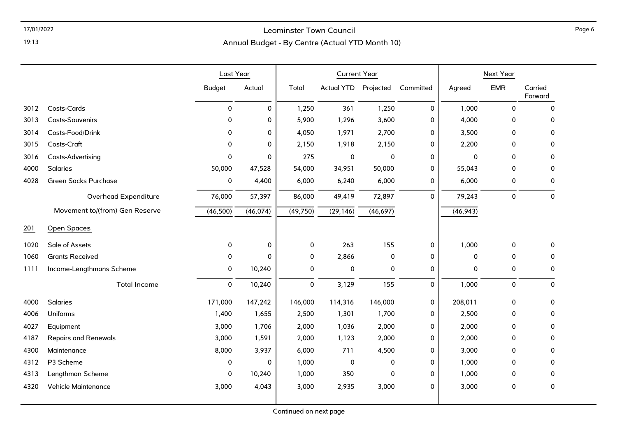### 17/01/2022 Leominster Town Council

### Annual Budget - By Centre (Actual YTD Month 10)

|      |                                | Last Year     |             |             | <b>Current Year</b>  |             |             |           | Next Year   |                    |
|------|--------------------------------|---------------|-------------|-------------|----------------------|-------------|-------------|-----------|-------------|--------------------|
|      |                                | <b>Budget</b> | Actual      | Total       | Actual YTD Projected |             | Committed   | Agreed    | <b>EMR</b>  | Carried<br>Forward |
| 3012 | Costs-Cards                    | 0             | $\mathbf 0$ | 1,250       | 361                  | 1,250       | 0           | 1,000     | $\mathbf 0$ | $\mathbf 0$        |
| 3013 | Costs-Souvenirs                | 0             | 0           | 5,900       | 1,296                | 3,600       | 0           | 4,000     | 0           | 0                  |
| 3014 | Costs-Food/Drink               | 0             | 0           | 4,050       | 1,971                | 2,700       | 0           | 3,500     | 0           | 0                  |
| 3015 | Costs-Craft                    | 0             | $\Omega$    | 2,150       | 1,918                | 2,150       | 0           | 2,200     | 0           | $\Omega$           |
| 3016 | Costs-Advertising              | 0             | $\Omega$    | 275         | 0                    | 0           | 0           | 0         | $\Omega$    | 0                  |
| 4000 | Salaries                       | 50,000        | 47,528      | 54,000      | 34,951               | 50,000      | 0           | 55,043    | 0           | 0                  |
| 4028 | <b>Green Sacks Purchase</b>    | 0             | 4,400       | 6,000       | 6,240                | 6,000       | 0           | 6,000     | 0           | 0                  |
|      | Overhead Expenditure           | 76,000        | 57,397      | 86,000      | 49,419               | 72,897      | $\mathbf 0$ | 79,243    | $\pmb{0}$   | $\mathbf 0$        |
|      | Movement to/(from) Gen Reserve | (46, 500)     | (46, 074)   | (49, 750)   | (29, 146)            | (46, 697)   |             | (46, 943) |             |                    |
| 201  | Open Spaces                    |               |             |             |                      |             |             |           |             |                    |
| 1020 | Sale of Assets                 | 0             | 0           | 0           | 263                  | 155         | 0           | 1,000     | 0           | 0                  |
| 1060 | <b>Grants Received</b>         | 0             | $\Omega$    | $\mathbf 0$ | 2,866                | 0           | 0           | 0         | 0           | 0                  |
| 1111 | Income-Lengthmans Scheme       | 0             | 10,240      | $\mathbf 0$ | 0                    | $\mathbf 0$ | 0           | 0         | 0           | 0                  |
|      | <b>Total Income</b>            | 0             | 10,240      | $\pmb{0}$   | 3,129                | 155         | $\mathbf 0$ | 1,000     | $\mathbf 0$ | $\mathbf 0$        |
| 4000 | Salaries                       | 171,000       | 147,242     | 146,000     | 114,316              | 146,000     | 0           | 208,011   | 0           | 0                  |
| 4006 | Uniforms                       | 1,400         | 1,655       | 2,500       | 1,301                | 1,700       | 0           | 2,500     | 0           | 0                  |
| 4027 | Equipment                      | 3,000         | 1,706       | 2,000       | 1,036                | 2,000       | 0           | 2,000     | $\Omega$    | 0                  |
| 4187 | <b>Repairs and Renewals</b>    | 3,000         | 1,591       | 2,000       | 1,123                | 2,000       | 0           | 2,000     | 0           | 0                  |
| 4300 | Maintenance                    | 8,000         | 3,937       | 6,000       | 711                  | 4,500       | 0           | 3,000     | 0           | $\Omega$           |
| 4312 | P3 Scheme                      | 0             | $\Omega$    | 1,000       | 0                    | $\mathbf 0$ | 0           | 1,000     | $\Omega$    | 0                  |
| 4313 | Lengthman Scheme               | 0             | 10,240      | 1,000       | 350                  | 0           | 0           | 1,000     | 0           | 0                  |
| 4320 | <b>Vehicle Maintenance</b>     | 3,000         | 4,043       | 3,000       | 2,935                | 3,000       | 0           | 3,000     | 0           | 0                  |
|      |                                |               |             |             |                      |             |             |           |             |                    |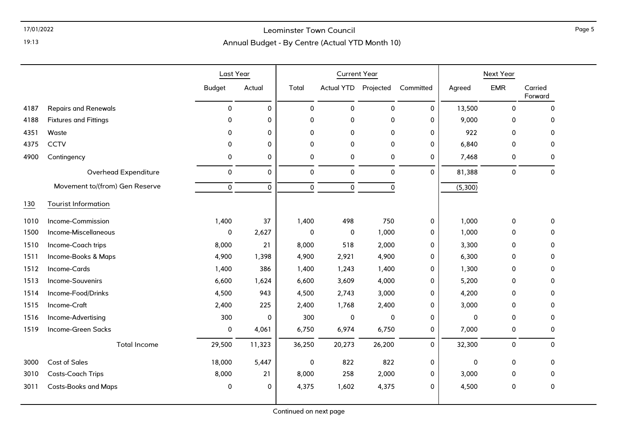### 17/01/2022 Leominster Town Council

19:13

### Annual Budget - By Centre (Actual YTD Month 10)

|      |                                | Last Year     |             |             | <b>Current Year</b>  |              |             |             | Next Year   |                    |
|------|--------------------------------|---------------|-------------|-------------|----------------------|--------------|-------------|-------------|-------------|--------------------|
|      |                                | <b>Budget</b> | Actual      | Total       | Actual YTD Projected |              | Committed   | Agreed      | <b>EMR</b>  | Carried<br>Forward |
| 4187 | <b>Repairs and Renewals</b>    | $\mathbf 0$   | 0           | $\mathbf 0$ | 0                    | $\mathbf{0}$ | $\Omega$    | 13,500      | $\mathbf 0$ | $\mathbf 0$        |
| 4188 | <b>Fixtures and Fittings</b>   | 0             | 0           | $\pmb{0}$   | 0                    | $\pmb{0}$    | $\mathbf 0$ | 9,000       | 0           | 0                  |
| 4351 | Waste                          | $\Omega$      | 0           | $\mathbf 0$ | 0                    | 0            | $\mathbf 0$ | 922         | 0           | $\Omega$           |
| 4375 | <b>CCTV</b>                    | $\Omega$      | 0           | $\mathbf 0$ | 0                    | $\mathbf 0$  | $\mathbf 0$ | 6,840       | $\mathbf 0$ | 0                  |
| 4900 | Contingency                    | 0             | 0           | 0           | 0                    | 0            | $\mathbf 0$ | 7,468       | 0           | 0                  |
|      | Overhead Expenditure           | 0             | 0           | $\mathbf 0$ | 0                    | 0            | $\mathbf 0$ | 81,388      | 0           | $\mathbf 0$        |
|      | Movement to/(from) Gen Reserve | 0             | $\mathbf 0$ | $\mathbf 0$ | 0                    | $\pmb{0}$    |             | (5,300)     |             |                    |
| 130  | <b>Tourist Information</b>     |               |             |             |                      |              |             |             |             |                    |
| 1010 | Income-Commission              | 1,400         | 37          | 1,400       | 498                  | 750          | 0           | 1,000       | 0           | $\mathbf 0$        |
| 1500 | Income-Miscellaneous           | 0             | 2,627       | $\mathbf 0$ | 0                    | 1,000        | 0           | 1,000       | 0           | 0                  |
| 1510 | Income-Coach trips             | 8,000         | 21          | 8,000       | 518                  | 2,000        | 0           | 3,300       | 0           | 0                  |
| 1511 | Income-Books & Maps            | 4,900         | 1,398       | 4,900       | 2,921                | 4,900        | 0           | 6,300       | 0           | 0                  |
| 1512 | Income-Cards                   | 1,400         | 386         | 1,400       | 1,243                | 1,400        | 0           | 1,300       | 0           | 0                  |
| 1513 | Income-Souvenirs               | 6,600         | 1,624       | 6,600       | 3,609                | 4,000        | 0           | 5,200       | 0           | 0                  |
| 1514 | Income-Food/Drinks             | 4,500         | 943         | 4,500       | 2,743                | 3,000        | $\mathbf 0$ | 4,200       | 0           | $\Omega$           |
| 1515 | Income-Craft                   | 2,400         | 225         | 2,400       | 1,768                | 2,400        | 0           | 3,000       | 0           | 0                  |
| 1516 | Income-Advertising             | 300           | 0           | 300         | 0                    | $\mathbf 0$  | 0           | $\mathbf 0$ | 0           | 0                  |
| 1519 | Income-Green Sacks             | 0             | 4,061       | 6,750       | 6,974                | 6,750        | $\mathbf 0$ | 7,000       | 0           | 0                  |
|      | <b>Total Income</b>            | 29,500        | 11,323      | 36,250      | 20,273               | 26,200       | $\mathbf 0$ | 32,300      | 0           | $\Omega$           |
| 3000 | <b>Cost of Sales</b>           | 18,000        | 5,447       | 0           | 822                  | 822          | 0           | 0           | 0           | $\Omega$           |
| 3010 | Costs-Coach Trips              | 8,000         | 21          | 8,000       | 258                  | 2,000        | 0           | 3,000       | 0           | 0                  |
| 3011 | <b>Costs-Books and Maps</b>    | 0             | 0           | 4,375       | 1,602                | 4,375        | $\mathbf 0$ | 4,500       | $\mathbf 0$ | 0                  |

Page 5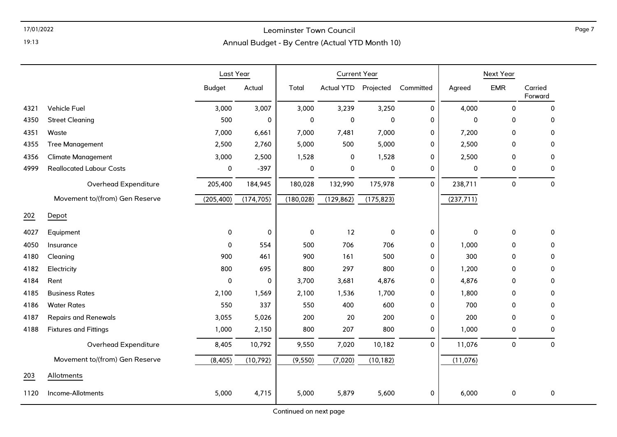### 17/01/2022 Leominster Town Council

Annual Budget - By Centre (Actual YTD Month 10)

|      |                                 | Last Year     |            |            | <b>Current Year</b> |            |           | Next Year  |             |                    |
|------|---------------------------------|---------------|------------|------------|---------------------|------------|-----------|------------|-------------|--------------------|
|      |                                 | <b>Budget</b> | Actual     | Total      | <b>Actual YTD</b>   | Projected  | Committed | Agreed     | <b>EMR</b>  | Carried<br>Forward |
| 4321 | Vehicle Fuel                    | 3,000         | 3,007      | 3,000      | 3,239               | 3,250      | 0         | 4,000      | 0           | 0                  |
| 4350 | <b>Street Cleaning</b>          | 500           | 0          | 0          | 0                   | 0          | 0         | 0          | $\Omega$    | 0                  |
| 4351 | Waste                           | 7,000         | 6,661      | 7,000      | 7,481               | 7,000      | 0         | 7,200      | $\mathbf 0$ | 0                  |
| 4355 | <b>Tree Management</b>          | 2,500         | 2,760      | 5,000      | 500                 | 5,000      | 0         | 2,500      | 0           | 0                  |
| 4356 | <b>Climate Management</b>       | 3,000         | 2,500      | 1,528      | 0                   | 1,528      | 0         | 2,500      | 0           | 0                  |
| 4999 | <b>Reallocated Labour Costs</b> | 0             | $-397$     | 0          | 0                   | 0          | 0         | 0          | 0           | 0                  |
|      | Overhead Expenditure            | 205,400       | 184,945    | 180,028    | 132,990             | 175,978    | 0         | 238,711    | $\mathbf 0$ | 0                  |
|      | Movement to/(from) Gen Reserve  | (205, 400)    | (174, 705) | (180, 028) | (129, 862)          | (175, 823) |           | (237, 711) |             |                    |
| 202  | Depot                           |               |            |            |                     |            |           |            |             |                    |
| 4027 | Equipment                       | 0             | 0          | $\pmb{0}$  | 12                  | $\pmb{0}$  | 0         | $\pmb{0}$  | 0           | 0                  |
| 4050 | Insurance                       | 0             | 554        | 500        | 706                 | 706        | 0         | 1,000      | 0           | 0                  |
| 4180 | Cleaning                        | 900           | 461        | 900        | 161                 | 500        | 0         | 300        | $\Omega$    | 0                  |
| 4182 | Electricity                     | 800           | 695        | 800        | 297                 | 800        | 0         | 1,200      | 0           | 0                  |
| 4184 | Rent                            | 0             | 0          | 3,700      | 3,681               | 4,876      | 0         | 4,876      | 0           | 0                  |
| 4185 | <b>Business Rates</b>           | 2,100         | 1,569      | 2,100      | 1,536               | 1,700      | 0         | 1,800      | 0           | 0                  |
| 4186 | <b>Water Rates</b>              | 550           | 337        | 550        | 400                 | 600        | 0         | 700        | 0           | 0                  |
| 4187 | <b>Repairs and Renewals</b>     | 3,055         | 5,026      | 200        | 20                  | 200        | 0         | 200        | 0           | 0                  |
| 4188 | <b>Fixtures and Fittings</b>    | 1,000         | 2,150      | 800        | 207                 | 800        | 0         | 1,000      | 0           | 0                  |
|      | Overhead Expenditure            | 8,405         | 10,792     | 9,550      | 7,020               | 10,182     | 0         | 11,076     | $\pmb{0}$   | 0                  |
|      | Movement to/(from) Gen Reserve  | (8, 405)      | (10, 792)  | (9, 550)   | (7,020)             | (10, 182)  |           | (11,076)   |             |                    |
| 203  | Allotments                      |               |            |            |                     |            |           |            |             |                    |
| 1120 | Income-Allotments               | 5,000         | 4,715      | 5,000      | 5,879               | 5,600      | 0         | 6,000      | 0           | 0                  |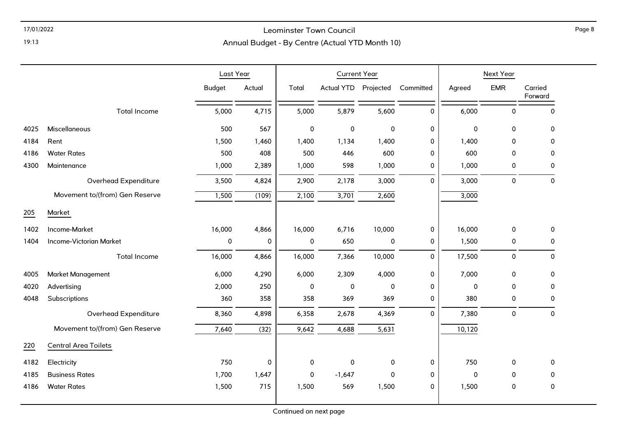### 17/01/2022 Leominster Town Council

19:13

### Annual Budget - By Centre (Actual YTD Month 10)

|      |                                | Last Year     |           | <b>Current Year</b> |                      |             |             | Next Year   |             |                     |
|------|--------------------------------|---------------|-----------|---------------------|----------------------|-------------|-------------|-------------|-------------|---------------------|
|      |                                | <b>Budget</b> | Actual    | Total               | Actual YTD Projected |             | Committed   | Agreed      | <b>EMR</b>  | Carried<br>Forward  |
|      | <b>Total Income</b>            | 5,000         | 4,715     | 5,000               | 5,879                | 5,600       | $\Omega$    | 6,000       | $\mathbf 0$ | $\mathbf 0$         |
| 4025 | Miscellaneous                  | 500           | 567       | $\pmb{0}$           | $\mathsf 0$          | $\pmb{0}$   | 0           | $\mathsf 0$ | $\mathsf 0$ | $\pmb{0}$           |
| 4184 | Rent                           | 1,500         | 1,460     | 1,400               | 1,134                | 1,400       | 0           | 1,400       | $\mathbf 0$ | $\mathbf 0$         |
| 4186 | <b>Water Rates</b>             | 500           | 408       | 500                 | 446                  | 600         | $\mathbf 0$ | 600         | $\mathbf 0$ | 0                   |
| 4300 | Maintenance                    | 1,000         | 2,389     | 1,000               | 598                  | 1,000       | 0           | 1,000       | 0           | 0                   |
|      | Overhead Expenditure           | 3,500         | 4,824     | 2,900               | 2,178                | 3,000       | 0           | 3,000       | $\mathbf 0$ | 0                   |
|      | Movement to/(from) Gen Reserve | 1,500         | (109)     | 2,100               | 3,701                | 2,600       |             | 3,000       |             |                     |
| 205  | Market                         |               |           |                     |                      |             |             |             |             |                     |
| 1402 | Income-Market                  | 16,000        | 4,866     | 16,000              | 6,716                | 10,000      | 0           | 16,000      | 0           | 0                   |
| 1404 | <b>Income-Victorian Market</b> | 0             | $\pmb{0}$ | $\pmb{0}$           | 650                  | $\pmb{0}$   | 0           | 1,500       | 0           | 0                   |
|      | <b>Total Income</b>            | 16,000        | 4,866     | 16,000              | 7,366                | 10,000      | 0           | 17,500      | $\mathbf 0$ | $\mathsf{O}\xspace$ |
| 4005 | <b>Market Management</b>       | 6,000         | 4,290     | 6,000               | 2,309                | 4,000       | 0           | 7,000       | $\mathbf 0$ | $\pmb{0}$           |
| 4020 | Advertising                    | 2,000         | 250       | 0                   | 0                    | $\mathbf 0$ | 0           | 0           | 0           | 0                   |
| 4048 | Subscriptions                  | 360           | 358       | 358                 | 369                  | 369         | 0           | 380         | 0           | 0                   |
|      | Overhead Expenditure           | 8,360         | 4,898     | 6,358               | 2,678                | 4,369       | $\Omega$    | 7,380       | $\mathbf 0$ | 0                   |
|      | Movement to/(from) Gen Reserve | 7,640         | (32)      | 9,642               | 4,688                | 5,631       |             | 10,120      |             |                     |
| 220  | <b>Central Area Toilets</b>    |               |           |                     |                      |             |             |             |             |                     |
| 4182 | Electricity                    | 750           | $\pmb{0}$ | 0                   | 0                    | $\mathbf 0$ | 0           | 750         | 0           | 0                   |
| 4185 | <b>Business Rates</b>          | 1,700         | 1,647     | 0                   | $-1,647$             | $\mathbf 0$ | 0           | 0           | 0           | 0                   |
| 4186 | <b>Water Rates</b>             | 1,500         | 715       | 1,500               | 569                  | 1,500       | $\mathbf 0$ | 1,500       | 0           | 0                   |
|      |                                |               |           |                     |                      |             |             |             |             |                     |

Page 8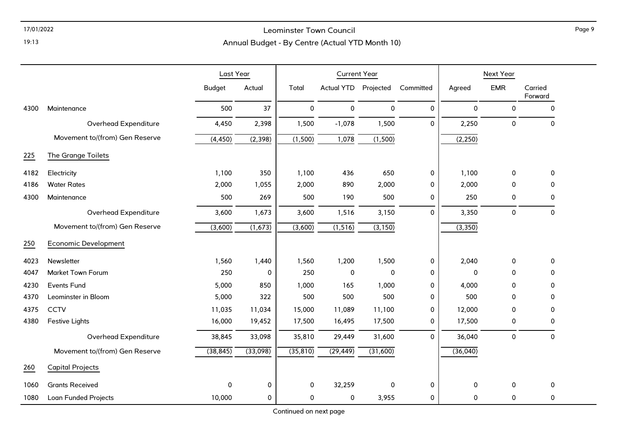### 17/01/2022 Leominster Town Council

### Annual Budget - By Centre (Actual YTD Month 10)

|      |                                | Last Year     |           |             | <b>Current Year</b> |                     |              | Next Year |             |                    |  |
|------|--------------------------------|---------------|-----------|-------------|---------------------|---------------------|--------------|-----------|-------------|--------------------|--|
|      |                                | <b>Budget</b> | Actual    | Total       | <b>Actual YTD</b>   | Projected           | Committed    | Agreed    | <b>EMR</b>  | Carried<br>Forward |  |
| 4300 | Maintenance                    | 500           | 37        | $\mathbf 0$ | 0                   | $\mathsf{O}\xspace$ | $\mathbf 0$  | 0         | 0           | $\mathbf{0}$       |  |
|      | Overhead Expenditure           | 4,450         | 2,398     | 1,500       | $-1,078$            | 1,500               | $\mathbf{0}$ | 2,250     | $\pmb{0}$   | 0                  |  |
|      | Movement to/(from) Gen Reserve | (4, 450)      | (2, 398)  | (1,500)     | 1,078               | (1,500)             |              | (2, 250)  |             |                    |  |
| 225  | The Grange Toilets             |               |           |             |                     |                     |              |           |             |                    |  |
| 4182 | Electricity                    | 1,100         | 350       | 1,100       | 436                 | 650                 | $\mathbf 0$  | 1,100     | $\Omega$    | $\mathbf{0}$       |  |
| 4186 | <b>Water Rates</b>             | 2,000         | 1,055     | 2,000       | 890                 | 2,000               | 0            | 2,000     | $\mathbf 0$ | 0                  |  |
| 4300 | Maintenance                    | 500           | 269       | 500         | 190                 | 500                 | 0            | 250       | 0           | 0                  |  |
|      | Overhead Expenditure           | 3,600         | 1,673     | 3,600       | 1,516               | 3,150               | $\Omega$     | 3,350     | $\mathbf 0$ | $\mathbf 0$        |  |
|      | Movement to/(from) Gen Reserve | (3,600)       | (1,673)   | (3,600)     | (1, 516)            | (3, 150)            |              | (3,350)   |             |                    |  |
| 250  | <b>Economic Development</b>    |               |           |             |                     |                     |              |           |             |                    |  |
| 4023 | Newsletter                     | 1,560         | 1,440     | 1,560       | 1,200               | 1,500               | 0            | 2,040     | $\mathbf 0$ | 0                  |  |
| 4047 | <b>Market Town Forum</b>       | 250           | 0         | 250         | $\pmb{0}$           | 0                   | $\mathbf{0}$ | 0         | $\Omega$    | $\mathbf{0}$       |  |
| 4230 | <b>Events Fund</b>             | 5,000         | 850       | 1,000       | 165                 | 1,000               | 0            | 4,000     | $\Omega$    | 0                  |  |
| 4370 | Leominster in Bloom            | 5,000         | 322       | 500         | 500                 | 500                 | 0            | 500       | 0           | 0                  |  |
| 4375 | <b>CCTV</b>                    | 11,035        | 11,034    | 15,000      | 11,089              | 11,100              | 0            | 12,000    | 0           | 0                  |  |
| 4380 | <b>Festive Lights</b>          | 16,000        | 19,452    | 17,500      | 16,495              | 17,500              | 0            | 17,500    | $\mathbf 0$ | $\mathbf{0}$       |  |
|      | Overhead Expenditure           | 38,845        | 33,098    | 35,810      | 29,449              | 31,600              | $\mathbf{0}$ | 36,040    | $\pmb{0}$   | $\pmb{0}$          |  |
|      | Movement to/(from) Gen Reserve | (38, 845)     | (33,098)  | (35, 810)   | (29, 449)           | (31,600)            |              | (36,040)  |             |                    |  |
| 260  | <b>Capital Projects</b>        |               |           |             |                     |                     |              |           |             |                    |  |
| 1060 | <b>Grants Received</b>         | 0             | $\pmb{0}$ | 0           | 32,259              | $\pmb{0}$           | $\pmb{0}$    | $\pmb{0}$ | 0           | 0                  |  |
| 1080 | Loan Funded Projects           | 10,000        | $\pmb{0}$ | 0           | 0                   | 3,955               | 0            | 0         | 0           | 0                  |  |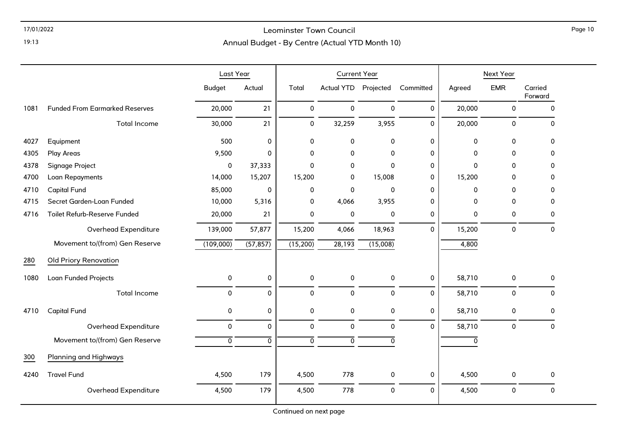### 17/01/2022 Leominster Town Council

Page 10

Annual Budget - By Centre (Actual YTD Month 10)

|      |                                       | Last Year     |                | <b>Current Year</b> |                   |                     |              |             | Next Year   |                     |
|------|---------------------------------------|---------------|----------------|---------------------|-------------------|---------------------|--------------|-------------|-------------|---------------------|
|      |                                       | <b>Budget</b> | Actual         | Total               | <b>Actual YTD</b> | Projected           | Committed    | Agreed      | <b>EMR</b>  | Carried<br>Forward  |
| 1081 | <b>Funded From Earmarked Reserves</b> | 20,000        | 21             | 0                   | $\mathbf 0$       | $\mathbf 0$         | $\mathbf{0}$ | 20,000      | 0           | $\mathbf 0$         |
|      | <b>Total Income</b>                   | 30,000        | 21             | 0                   | 32,259            | 3,955               | 0            | 20,000      | $\mathbf 0$ | 0                   |
| 4027 | Equipment                             | 500           | $\pmb{0}$      | 0                   | $\pmb{0}$         | $\mathbf 0$         | 0            | $\mathbf 0$ | $\mathbf 0$ | 0                   |
| 4305 | <b>Play Areas</b>                     | 9,500         | $\mathbf 0$    | 0                   | 0                 | $\mathbf 0$         | 0            | 0           | 0           | 0                   |
| 4378 | Signage Project                       | 0             | 37,333         | 0                   | 0                 | $\mathbf 0$         | 0            | 0           | 0           | 0                   |
| 4700 | Loan Repayments                       | 14,000        | 15,207         | 15,200              | 0                 | 15,008              | 0            | 15,200      | 0           | 0                   |
| 4710 | <b>Capital Fund</b>                   | 85,000        | 0              | 0                   | 0                 | $\Omega$            | 0            | 0           | 0           | 0                   |
| 4715 | Secret Garden-Loan Funded             | 10,000        | 5,316          | 0                   | 4,066             | 3,955               | 0            | 0           | 0           | 0                   |
| 4716 | Toilet Refurb-Reserve Funded          | 20,000        | 21             | 0                   | $\boldsymbol{0}$  | 0                   | 0            | 0           | 0           | 0                   |
|      | Overhead Expenditure                  | 139,000       | 57,877         | 15,200              | 4,066             | 18,963              | 0            | 15,200      | $\pmb{0}$   | $\mathsf{O}\xspace$ |
|      | Movement to/(from) Gen Reserve        | (109,000)     | (57, 857)      | (15,200)            | 28,193            | (15,008)            |              | 4,800       |             |                     |
| 280  | Old Priory Renovation                 |               |                |                     |                   |                     |              |             |             |                     |
| 1080 | Loan Funded Projects                  | 0             | $\pmb{0}$      | 0                   | $\pmb{0}$         | $\mathsf{O}\xspace$ | 0            | 58,710      | $\pmb{0}$   | 0                   |
|      | <b>Total Income</b>                   | 0             | $\pmb{0}$      | 0                   | $\mathbf 0$       | $\pmb{0}$           | 0            | 58,710      | $\pmb{0}$   | 0                   |
| 4710 | <b>Capital Fund</b>                   | 0             | $\pmb{0}$      | 0                   | $\pmb{0}$         | $\pmb{0}$           | 0            | 58,710      | 0           | 0                   |
|      | Overhead Expenditure                  | 0             | $\mathbf 0$    | 0                   | 0                 | $\mathbf 0$         | 0            | 58,710      | 0           | $\mathbf 0$         |
|      | Movement to/(from) Gen Reserve        | 0             | $\overline{0}$ | 0                   | $\overline{0}$    | $\mathbf 0$         |              | 0           |             |                     |
| 300  | Planning and Highways                 |               |                |                     |                   |                     |              |             |             |                     |
| 4240 | <b>Travel Fund</b>                    | 4,500         | 179            | 4,500               | 778               | 0                   | 0            | 4,500       | 0           | 0                   |
|      | Overhead Expenditure                  | 4,500         | 179            | 4,500               | 778               | $\pmb{0}$           | 0            | 4,500       | $\pmb{0}$   | 0                   |

Continued on next page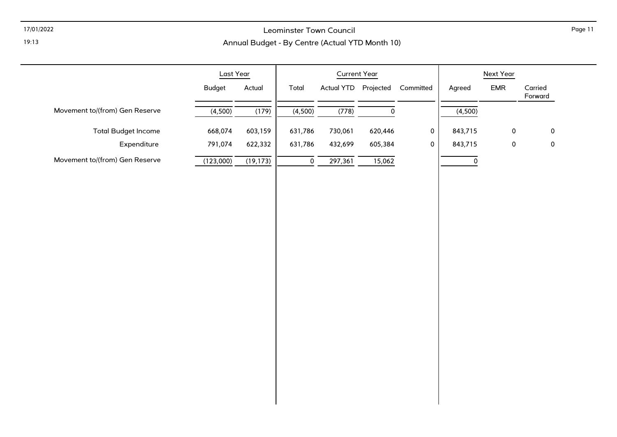### 17/01/2022 Leominster Town Council

### Annual Budget - By Centre (Actual YTD Month 10)

|                                | Last Year               | <b>Current Year</b>                     |              | Next Year           |                     |                    |
|--------------------------------|-------------------------|-----------------------------------------|--------------|---------------------|---------------------|--------------------|
|                                | <b>Budget</b><br>Actual | Actual YTD Projected<br>Total           | Committed    | Agreed              | EMR                 | Carried<br>Forward |
| Movement to/(from) Gen Reserve | (4,500)<br>(179)        | (4,500)<br>(778)<br>$\mathsf{O}\xspace$ |              | (4,500)             |                     |                    |
| <b>Total Budget Income</b>     | 668,074<br>603,159      | 631,786<br>730,061<br>620,446           | $\mathbf 0$  | 843,715             | $\mathsf{O}\xspace$ | $\mathsf{O}$       |
| Expenditure                    | 791,074<br>622,332      | 631,786<br>432,699<br>605,384           | $\mathbf{0}$ | 843,715             | $\pmb{0}$           | $\pmb{0}$          |
| Movement to/(from) Gen Reserve | (19, 173)<br>(123,000)  | 15,062<br>$\overline{0}$<br>297,361     |              | $\mathsf{O}\xspace$ |                     |                    |
|                                |                         |                                         |              |                     |                     |                    |
|                                |                         |                                         |              |                     |                     |                    |
|                                |                         |                                         |              |                     |                     |                    |
|                                |                         |                                         |              |                     |                     |                    |
|                                |                         |                                         |              |                     |                     |                    |
|                                |                         |                                         |              |                     |                     |                    |
|                                |                         |                                         |              |                     |                     |                    |
|                                |                         |                                         |              |                     |                     |                    |
|                                |                         |                                         |              |                     |                     |                    |
|                                |                         |                                         |              |                     |                     |                    |
|                                |                         |                                         |              |                     |                     |                    |
|                                |                         |                                         |              |                     |                     |                    |
|                                |                         |                                         |              |                     |                     |                    |
|                                |                         |                                         |              |                     |                     |                    |
|                                |                         |                                         |              |                     |                     |                    |

Page 11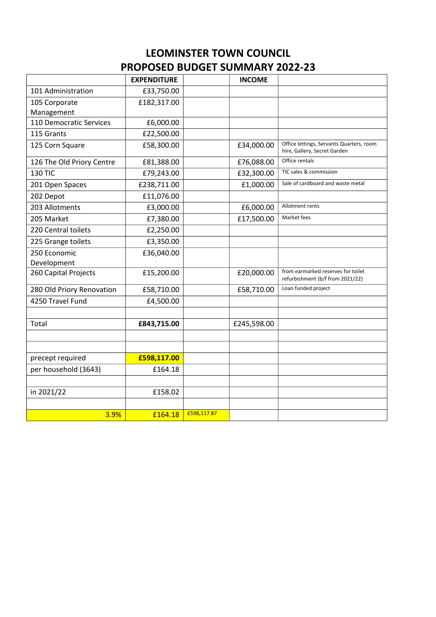# **LEOMINSTER TOWN COUNCIL PROPOSED BUDGET SUMMARY 2022-23**

|                           | <b>EXPENDITURE</b> |             | <b>INCOME</b> |                                                                          |
|---------------------------|--------------------|-------------|---------------|--------------------------------------------------------------------------|
| 101 Administration        | £33,750.00         |             |               |                                                                          |
| 105 Corporate             | £182,317.00        |             |               |                                                                          |
| Management                |                    |             |               |                                                                          |
| 110 Democratic Services   | £6,000.00          |             |               |                                                                          |
| 115 Grants                | £22,500.00         |             |               |                                                                          |
| 125 Corn Square           | £58,300.00         |             | £34,000.00    | Office lettings, Servants Quarters, room<br>hire, Gallery, Secret Garden |
| 126 The Old Priory Centre | £81,388.00         |             | £76,088.00    | Office rentals                                                           |
| <b>130 TIC</b>            | £79,243.00         |             | £32,300.00    | TIC sales & commission                                                   |
| 201 Open Spaces           | £238,711.00        |             | £1,000.00     | Sale of cardboard and waste metal                                        |
| 202 Depot                 | £11,076.00         |             |               |                                                                          |
| 203 Allotments            | £3,000.00          |             | £6,000.00     | Allotment rents                                                          |
| 205 Market                | £7,380.00          |             | £17,500.00    | Market fees                                                              |
| 220 Central toilets       | £2,250.00          |             |               |                                                                          |
| 225 Grange toilets        | £3,350.00          |             |               |                                                                          |
| 250 Economic              | £36,040.00         |             |               |                                                                          |
| Development               |                    |             |               |                                                                          |
| 260 Capital Projects      | £15,200.00         |             | £20,000.00    | from earmarked reserves for toilet<br>refurbishment (b/f from 2021/22)   |
| 280 Old Priory Renovation | £58,710.00         |             | £58,710.00    | Loan funded project                                                      |
| 4250 Travel Fund          | £4,500.00          |             |               |                                                                          |
|                           |                    |             |               |                                                                          |
| Total                     | £843,715.00        |             | £245,598.00   |                                                                          |
|                           |                    |             |               |                                                                          |
|                           |                    |             |               |                                                                          |
| precept required          | £598,117.00        |             |               |                                                                          |
| per household (3643)      | £164.18            |             |               |                                                                          |
|                           |                    |             |               |                                                                          |
| in 2021/22                | £158.02            |             |               |                                                                          |
|                           |                    |             |               |                                                                          |
| 3.9%                      | £164.18            | £598,117.87 |               |                                                                          |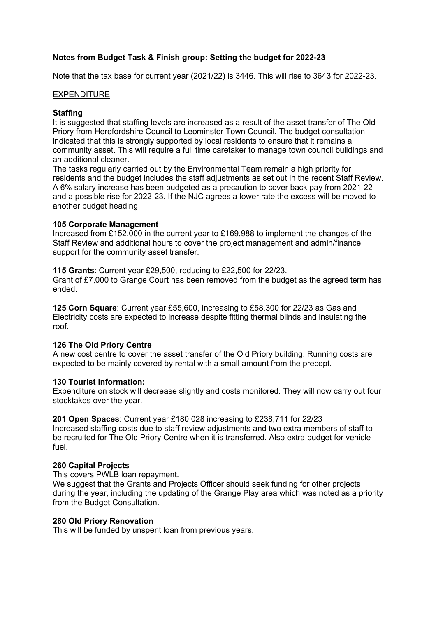### **Notes from Budget Task & Finish group: Setting the budget for 2022-23**

Note that the tax base for current year (2021/22) is 3446. This will rise to 3643 for 2022-23.

#### EXPENDITURE

#### **Staffing**

It is suggested that staffing levels are increased as a result of the asset transfer of The Old Priory from Herefordshire Council to Leominster Town Council. The budget consultation indicated that this is strongly supported by local residents to ensure that it remains a community asset. This will require a full time caretaker to manage town council buildings and an additional cleaner.

The tasks regularly carried out by the Environmental Team remain a high priority for residents and the budget includes the staff adjustments as set out in the recent Staff Review. A 6% salary increase has been budgeted as a precaution to cover back pay from 2021-22 and a possible rise for 2022-23. If the NJC agrees a lower rate the excess will be moved to another budget heading.

#### **105 Corporate Management**

Increased from £152,000 in the current year to £169,988 to implement the changes of the Staff Review and additional hours to cover the project management and admin/finance support for the community asset transfer.

**115 Grants**: Current year £29,500, reducing to £22,500 for 22/23. Grant of £7,000 to Grange Court has been removed from the budget as the agreed term has ended.

**125 Corn Square**: Current year £55,600, increasing to £58,300 for 22/23 as Gas and Electricity costs are expected to increase despite fitting thermal blinds and insulating the roof.

#### **126 The Old Priory Centre**

A new cost centre to cover the asset transfer of the Old Priory building. Running costs are expected to be mainly covered by rental with a small amount from the precept.

#### **130 Tourist Information:**

Expenditure on stock will decrease slightly and costs monitored. They will now carry out four stocktakes over the year.

**201 Open Spaces**: Current year £180,028 increasing to £238,711 for 22/23 Increased staffing costs due to staff review adjustments and two extra members of staff to be recruited for The Old Priory Centre when it is transferred. Also extra budget for vehicle fuel.

#### **260 Capital Projects**

This covers PWLB loan repayment.

We suggest that the Grants and Projects Officer should seek funding for other projects during the year, including the updating of the Grange Play area which was noted as a priority from the Budget Consultation.

#### **280 Old Priory Renovation**

This will be funded by unspent loan from previous years.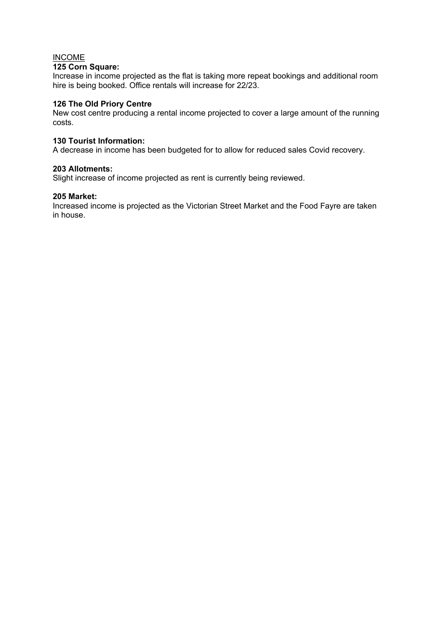#### INCOME **125 Corn Square:**

Increase in income projected as the flat is taking more repeat bookings and additional room hire is being booked. Office rentals will increase for 22/23.

#### **126 The Old Priory Centre**

New cost centre producing a rental income projected to cover a large amount of the running costs.

#### **130 Tourist Information:**

A decrease in income has been budgeted for to allow for reduced sales Covid recovery.

#### **203 Allotments:**

Slight increase of income projected as rent is currently being reviewed.

#### **205 Market:**

Increased income is projected as the Victorian Street Market and the Food Fayre are taken in house.